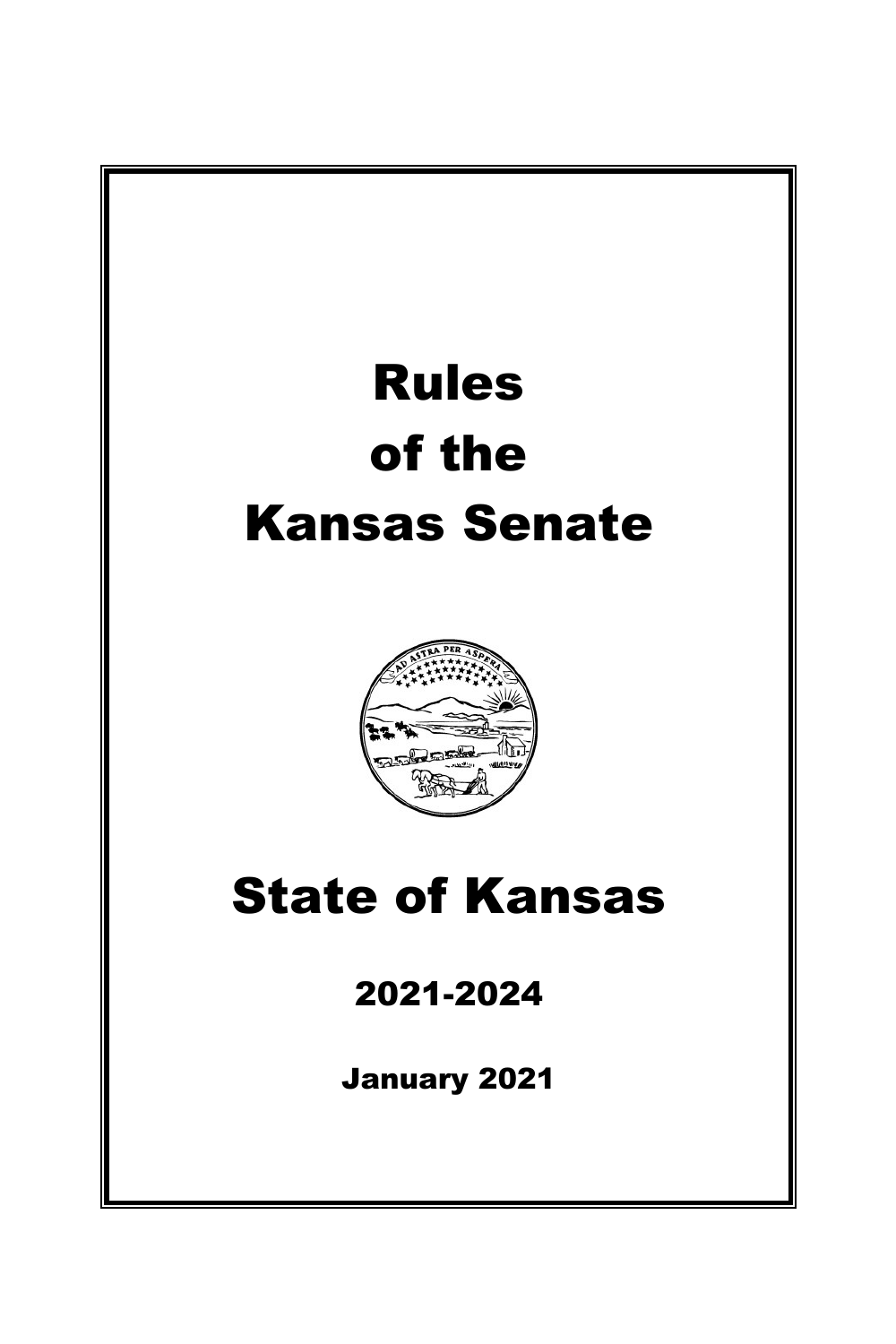# Rules of the Kansas Senate



## State of Kansas

### 2021-2024

January 2021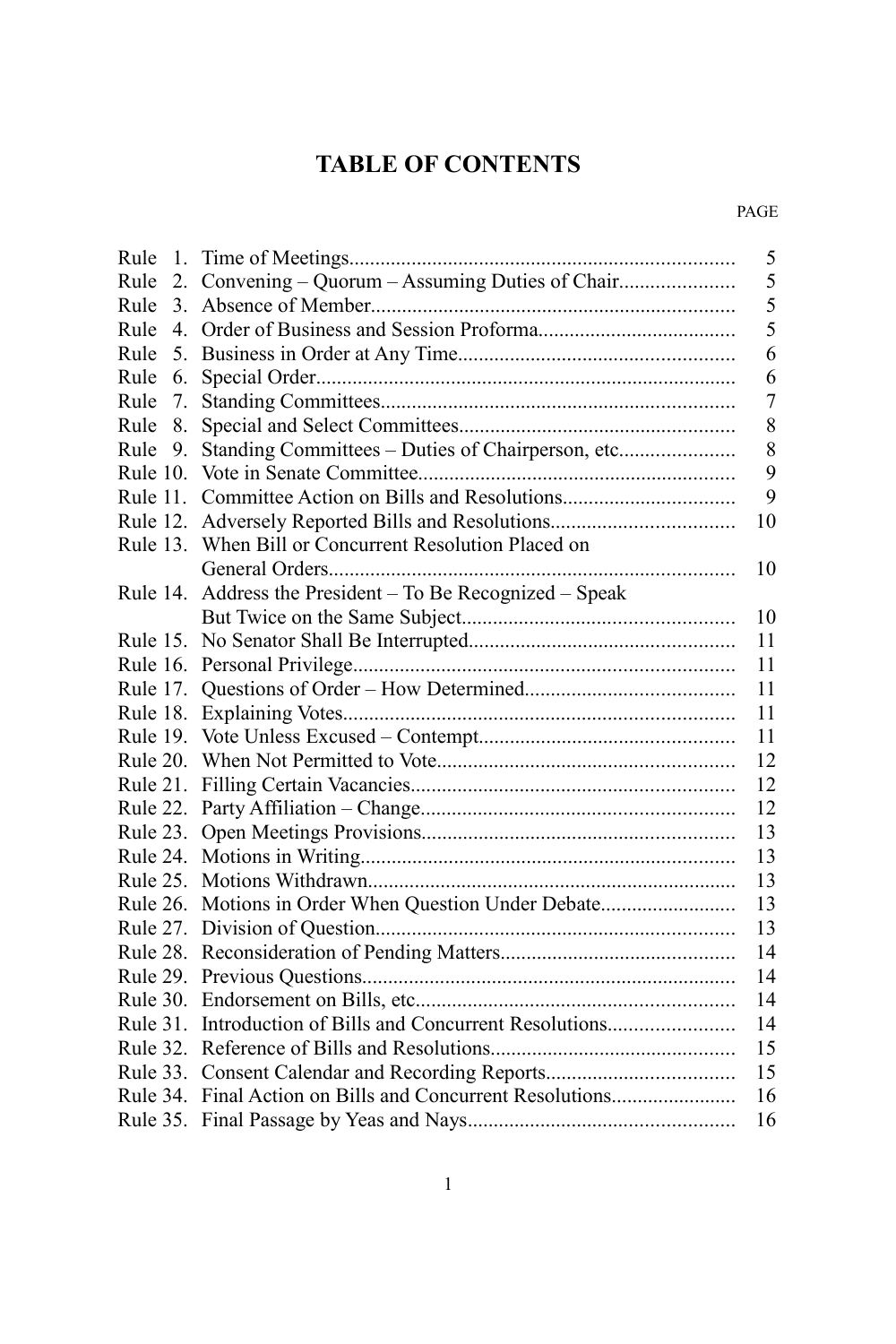### **TABLE OF CONTENTS**

#### PAGE

| Rule     | 1. |                                                           | 5  |
|----------|----|-----------------------------------------------------------|----|
| Rule     | 2. |                                                           | 5  |
| Rule     | 3. |                                                           | 5  |
| Rule     | 4. |                                                           | 5  |
| Rule     | 5. |                                                           | 6  |
| Rule     | 6. |                                                           | 6  |
| Rule     | 7. |                                                           | 7  |
| Rule     | 8. |                                                           | 8  |
| Rule     | 9. | Standing Committees - Duties of Chairperson, etc          | 8  |
| Rule 10. |    |                                                           | 9  |
| Rule 11. |    |                                                           | 9  |
|          |    |                                                           | 10 |
|          |    | Rule 13. When Bill or Concurrent Resolution Placed on     |    |
|          |    |                                                           | 10 |
| Rule 14. |    | Address the President - To Be Recognized - Speak          |    |
|          |    |                                                           | 10 |
|          |    |                                                           | 11 |
|          |    |                                                           | 11 |
|          |    |                                                           | 11 |
|          |    |                                                           | 11 |
|          |    |                                                           | 11 |
|          |    |                                                           | 12 |
|          |    |                                                           | 12 |
|          |    |                                                           | 12 |
|          |    |                                                           | 13 |
|          |    |                                                           | 13 |
|          |    |                                                           | 13 |
|          |    | Rule 26. Motions in Order When Question Under Debate      | 13 |
|          |    |                                                           | 13 |
|          |    |                                                           | 14 |
|          |    |                                                           | 14 |
|          |    |                                                           | 14 |
|          |    | Rule 31. Introduction of Bills and Concurrent Resolutions | 14 |
|          |    |                                                           | 15 |
|          |    |                                                           | 15 |
|          |    | Rule 34. Final Action on Bills and Concurrent Resolutions | 16 |
|          |    |                                                           | 16 |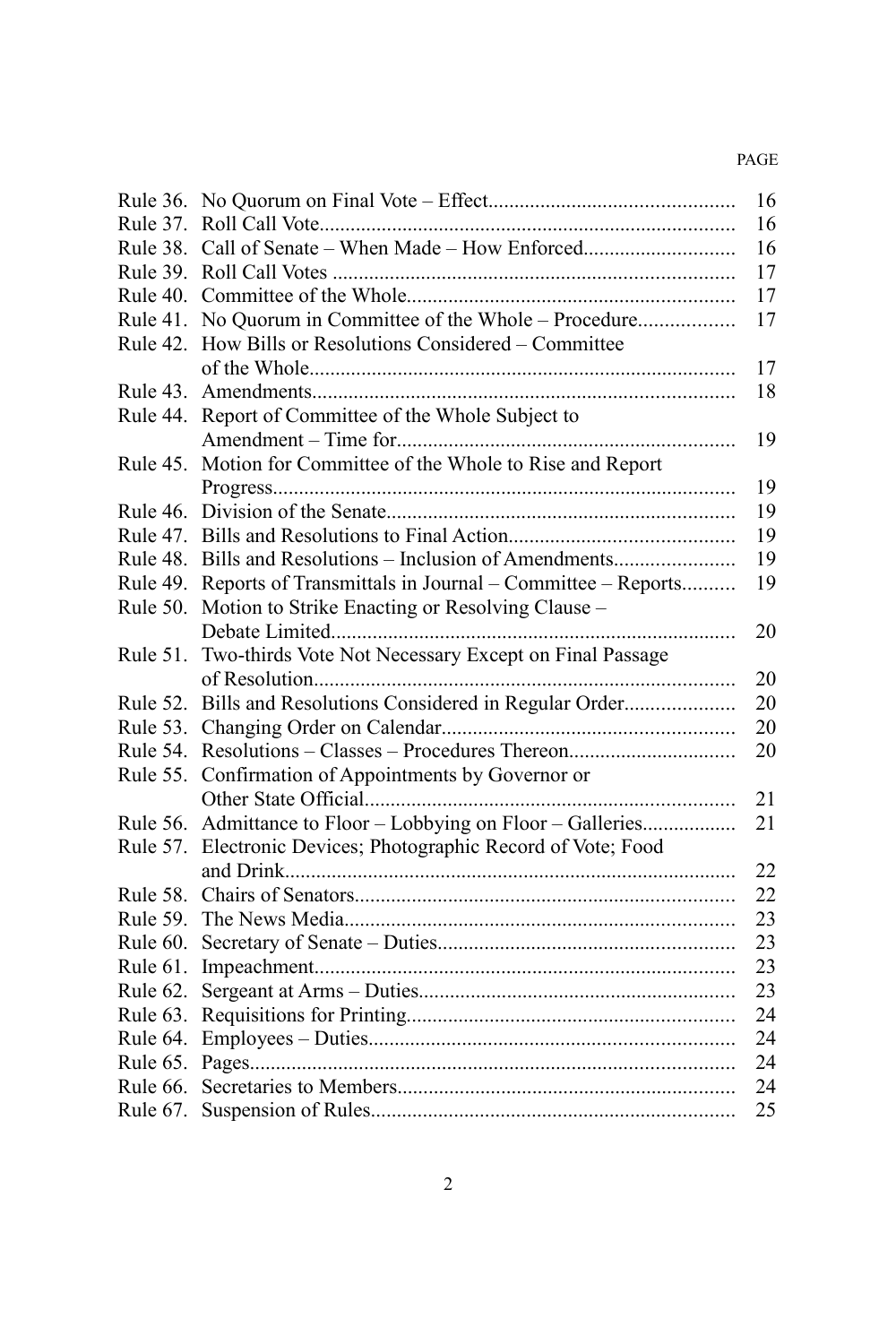#### PAGE

|            |                                                              | 16 |
|------------|--------------------------------------------------------------|----|
| Rule 37.   |                                                              | 16 |
| Rule 38.   |                                                              | 16 |
| Rule 39.   |                                                              | 17 |
| Rule $40.$ |                                                              | 17 |
| Rule $41.$ | No Quorum in Committee of the Whole – Procedure              | 17 |
| Rule 42.   | How Bills or Resolutions Considered - Committee              |    |
|            |                                                              | 17 |
| Rule 43.   |                                                              | 18 |
| Rule 44.   | Report of Committee of the Whole Subject to                  |    |
|            |                                                              | 19 |
| Rule 45.   | Motion for Committee of the Whole to Rise and Report         |    |
|            |                                                              | 19 |
| Rule 46.   |                                                              | 19 |
|            |                                                              | 19 |
| Rule 48.   | Bills and Resolutions - Inclusion of Amendments              | 19 |
| Rule 49.   | Reports of Transmittals in Journal – Committee – Reports     | 19 |
| Rule 50.   | Motion to Strike Enacting or Resolving Clause -              |    |
|            |                                                              | 20 |
| Rule 51.   | Two-thirds Vote Not Necessary Except on Final Passage        |    |
|            |                                                              | 20 |
| Rule 52.   | Bills and Resolutions Considered in Regular Order            | 20 |
| Rule 53.   |                                                              | 20 |
| Rule 54.   |                                                              | 20 |
| Rule 55.   | Confirmation of Appointments by Governor or                  |    |
|            |                                                              | 21 |
|            | Rule 56. Admittance to Floor - Lobbying on Floor - Galleries | 21 |
| Rule 57.   | Electronic Devices; Photographic Record of Vote; Food        |    |
|            |                                                              | 22 |
| Rule 58.   |                                                              | 22 |
| Rule 59.   |                                                              | 23 |
| Rule 60.   |                                                              | 23 |
| Rule 61.   |                                                              | 23 |
| Rule 62.   |                                                              | 23 |
| Rule 63.   |                                                              | 24 |
| Rule 64.   |                                                              | 24 |
| Rule 65.   |                                                              | 24 |
| Rule 66.   |                                                              | 24 |
| Rule 67.   |                                                              | 25 |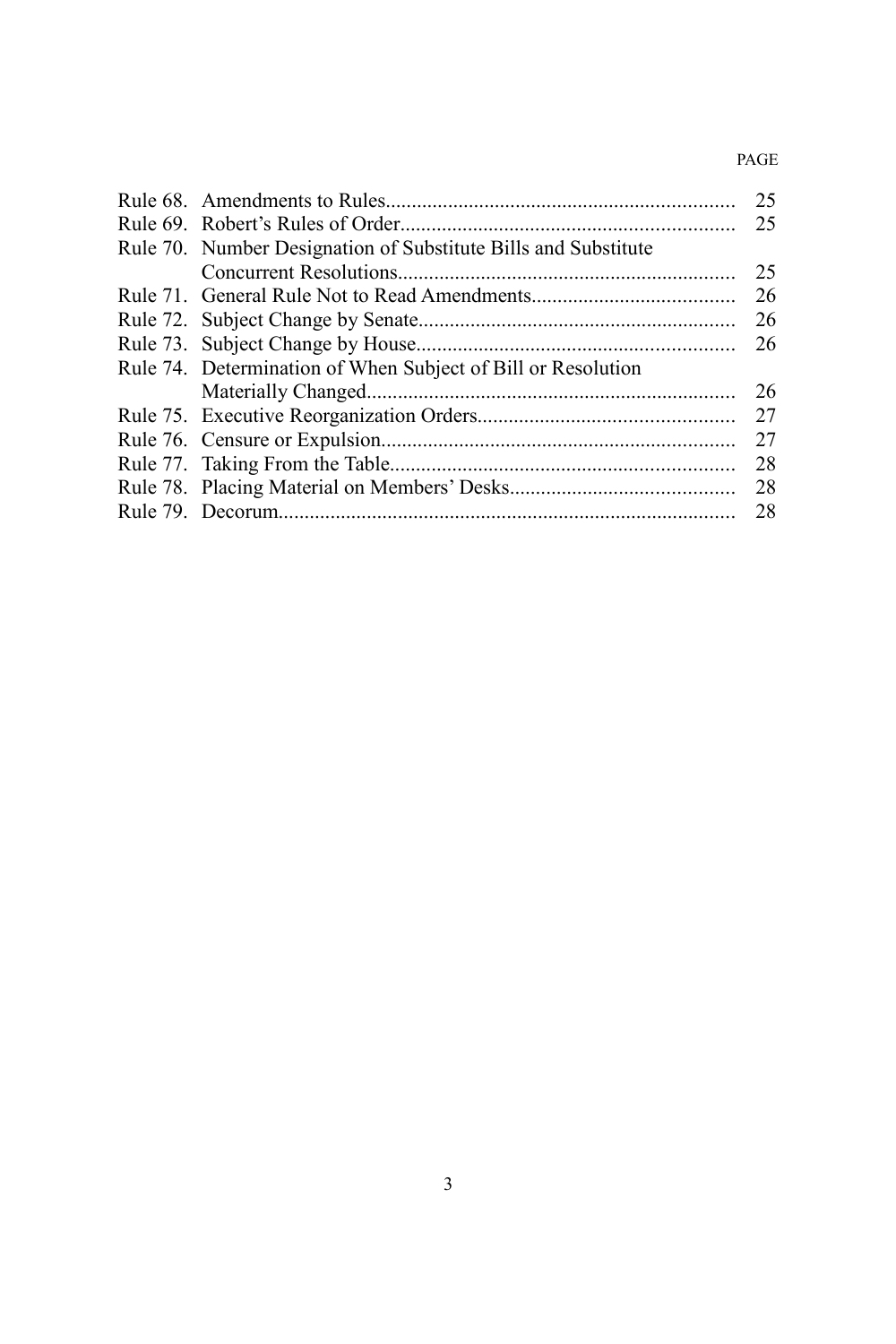#### PAGE

|                                                                | 25 |
|----------------------------------------------------------------|----|
|                                                                | 25 |
| Rule 70. Number Designation of Substitute Bills and Substitute |    |
|                                                                | 25 |
|                                                                | 26 |
|                                                                | 26 |
|                                                                | 26 |
| Rule 74. Determination of When Subject of Bill or Resolution   |    |
|                                                                | 26 |
|                                                                | 27 |
|                                                                | 27 |
|                                                                | 28 |
|                                                                | 28 |
|                                                                | 28 |
|                                                                |    |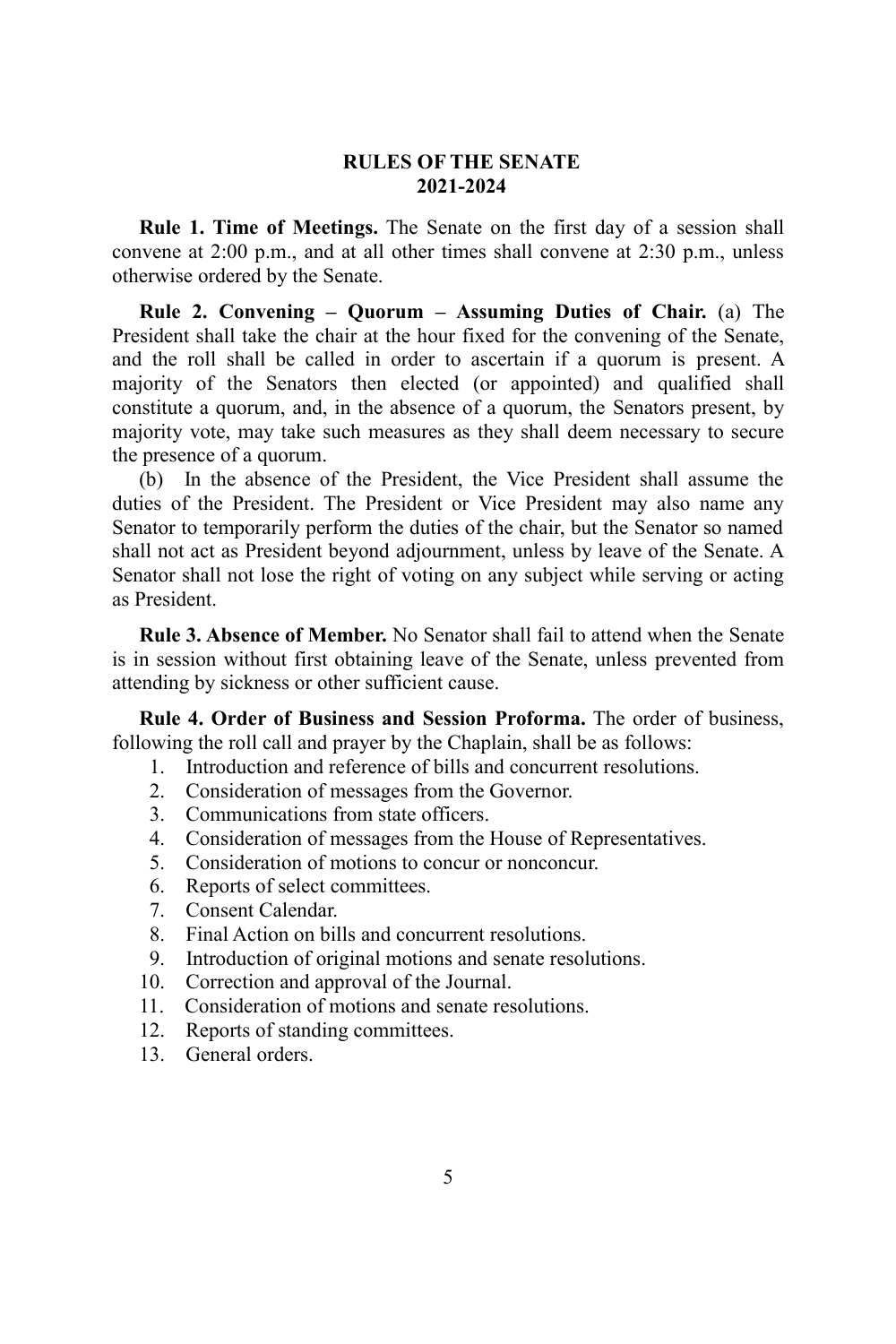#### **RULES OF THE SENATE 2021-2024**

**Rule 1. Time of Meetings.** The Senate on the first day of a session shall convene at 2:00 p.m., and at all other times shall convene at 2:30 p.m., unless otherwise ordered by the Senate.

**Rule 2. Convening – Quorum – Assuming Duties of Chair.** (a) The President shall take the chair at the hour fixed for the convening of the Senate, and the roll shall be called in order to ascertain if a quorum is present. A majority of the Senators then elected (or appointed) and qualified shall constitute a quorum, and, in the absence of a quorum, the Senators present, by majority vote, may take such measures as they shall deem necessary to secure the presence of a quorum.

(b) In the absence of the President, the Vice President shall assume the duties of the President. The President or Vice President may also name any Senator to temporarily perform the duties of the chair, but the Senator so named shall not act as President beyond adjournment, unless by leave of the Senate. A Senator shall not lose the right of voting on any subject while serving or acting as President.

**Rule 3. Absence of Member.** No Senator shall fail to attend when the Senate is in session without first obtaining leave of the Senate, unless prevented from attending by sickness or other sufficient cause.

**Rule 4. Order of Business and Session Proforma.** The order of business, following the roll call and prayer by the Chaplain, shall be as follows:

- 1. Introduction and reference of bills and concurrent resolutions.
- 2. Consideration of messages from the Governor.
- 3. Communications from state officers.
- 4. Consideration of messages from the House of Representatives.
- 5. Consideration of motions to concur or nonconcur.
- 6. Reports of select committees.
- 7. Consent Calendar.
- 8. Final Action on bills and concurrent resolutions.
- 9. Introduction of original motions and senate resolutions.
- 10. Correction and approval of the Journal.
- 11. Consideration of motions and senate resolutions.
- 12. Reports of standing committees.
- 13. General orders.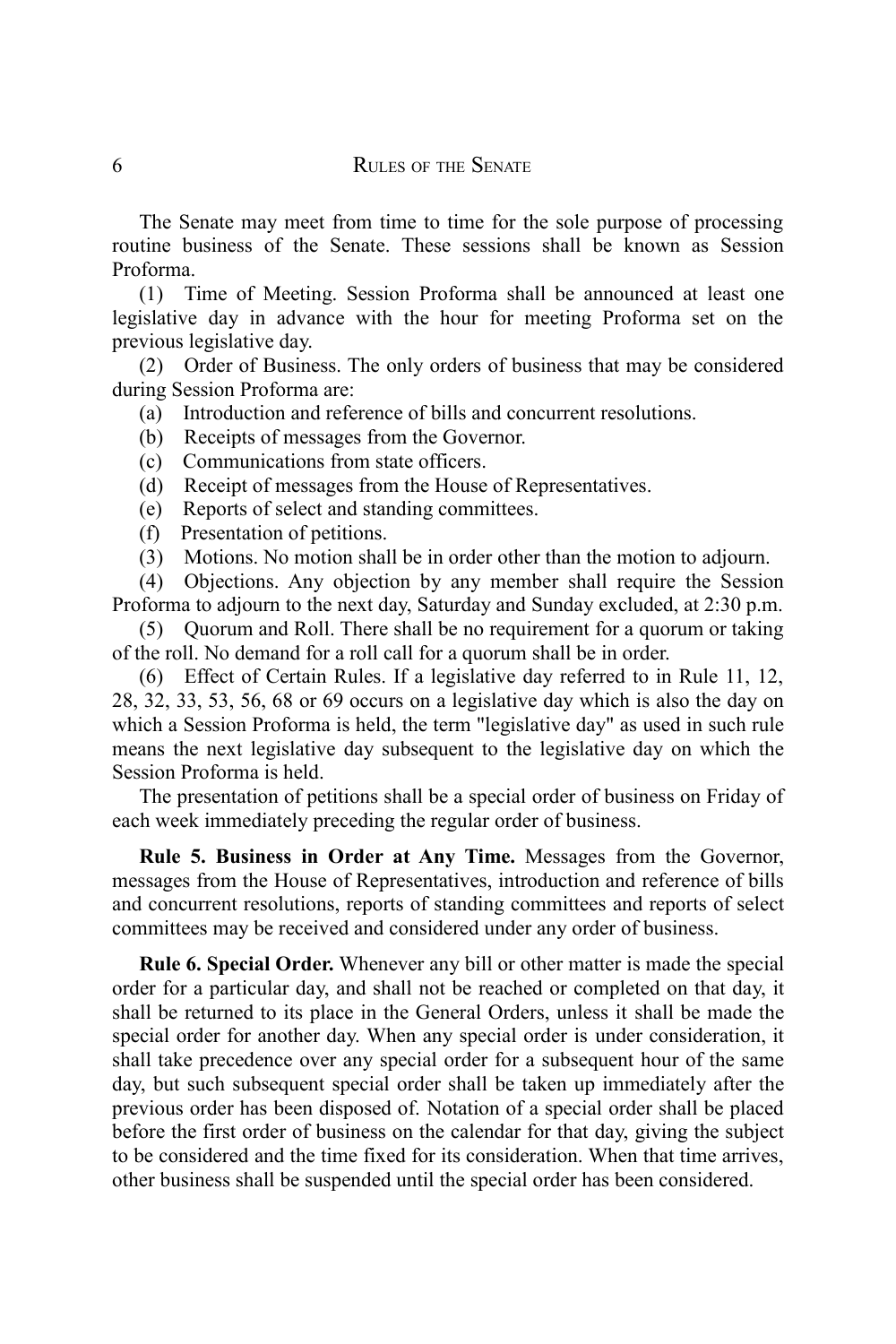The Senate may meet from time to time for the sole purpose of processing routine business of the Senate. These sessions shall be known as Session Proforma.

(1) Time of Meeting. Session Proforma shall be announced at least one legislative day in advance with the hour for meeting Proforma set on the previous legislative day.

(2) Order of Business. The only orders of business that may be considered during Session Proforma are:

- (a) Introduction and reference of bills and concurrent resolutions.
- (b) Receipts of messages from the Governor.
- (c) Communications from state officers.
- (d) Receipt of messages from the House of Representatives.
- (e) Reports of select and standing committees.
- (f) Presentation of petitions.
- (3) Motions. No motion shall be in order other than the motion to adjourn.

(4) Objections. Any objection by any member shall require the Session Proforma to adjourn to the next day, Saturday and Sunday excluded, at 2:30 p.m.

(5) Quorum and Roll. There shall be no requirement for a quorum or taking of the roll. No demand for a roll call for a quorum shall be in order.

(6) Effect of Certain Rules. If a legislative day referred to in Rule 11, 12, 28, 32, 33, 53, 56, 68 or 69 occurs on a legislative day which is also the day on which a Session Proforma is held, the term "legislative day" as used in such rule means the next legislative day subsequent to the legislative day on which the Session Proforma is held.

The presentation of petitions shall be a special order of business on Friday of each week immediately preceding the regular order of business.

**Rule 5. Business in Order at Any Time.** Messages from the Governor, messages from the House of Representatives, introduction and reference of bills and concurrent resolutions, reports of standing committees and reports of select committees may be received and considered under any order of business.

**Rule 6. Special Order.** Whenever any bill or other matter is made the special order for a particular day, and shall not be reached or completed on that day, it shall be returned to its place in the General Orders, unless it shall be made the special order for another day. When any special order is under consideration, it shall take precedence over any special order for a subsequent hour of the same day, but such subsequent special order shall be taken up immediately after the previous order has been disposed of. Notation of a special order shall be placed before the first order of business on the calendar for that day, giving the subject to be considered and the time fixed for its consideration. When that time arrives, other business shall be suspended until the special order has been considered.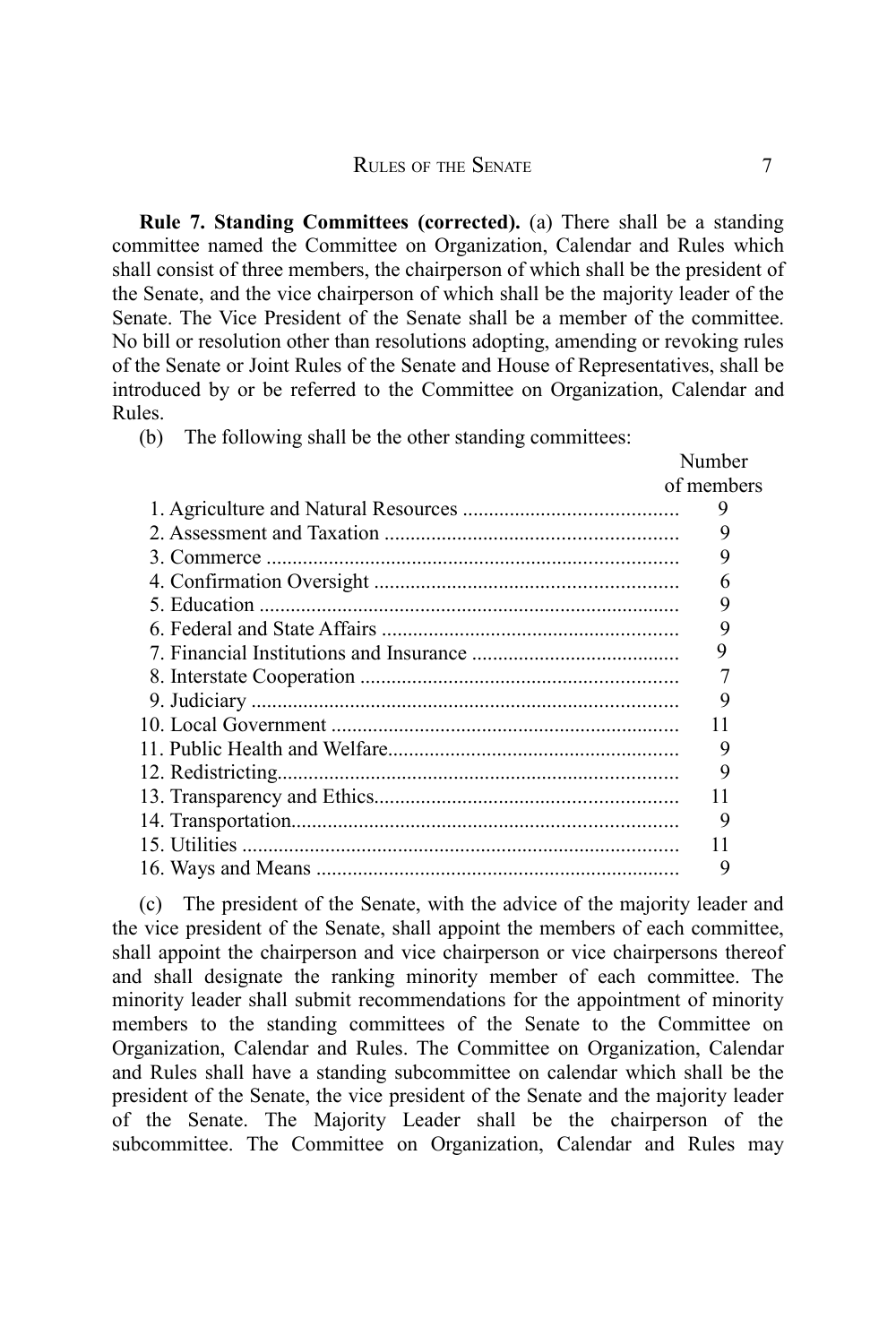**Rule 7. Standing Committees (corrected).** (a) There shall be a standing committee named the Committee on Organization, Calendar and Rules which shall consist of three members, the chairperson of which shall be the president of the Senate, and the vice chairperson of which shall be the majority leader of the Senate. The Vice President of the Senate shall be a member of the committee. No bill or resolution other than resolutions adopting, amending or revoking rules of the Senate or Joint Rules of the Senate and House of Representatives, shall be introduced by or be referred to the Committee on Organization, Calendar and Rules.

(b) The following shall be the other standing committees:

| Number     |
|------------|
| of members |
| 9          |
| 9          |
| 9          |
| 6          |
| 9          |
| 9          |
| 9          |
|            |
| 9          |
| 11         |
| 9          |
| 9          |
| 11         |
| 9          |
| 11         |
| 9          |
|            |

(c) The president of the Senate, with the advice of the majority leader and the vice president of the Senate, shall appoint the members of each committee, shall appoint the chairperson and vice chairperson or vice chairpersons thereof and shall designate the ranking minority member of each committee. The minority leader shall submit recommendations for the appointment of minority members to the standing committees of the Senate to the Committee on Organization, Calendar and Rules. The Committee on Organization, Calendar and Rules shall have a standing subcommittee on calendar which shall be the president of the Senate, the vice president of the Senate and the majority leader of the Senate. The Majority Leader shall be the chairperson of the subcommittee. The Committee on Organization, Calendar and Rules may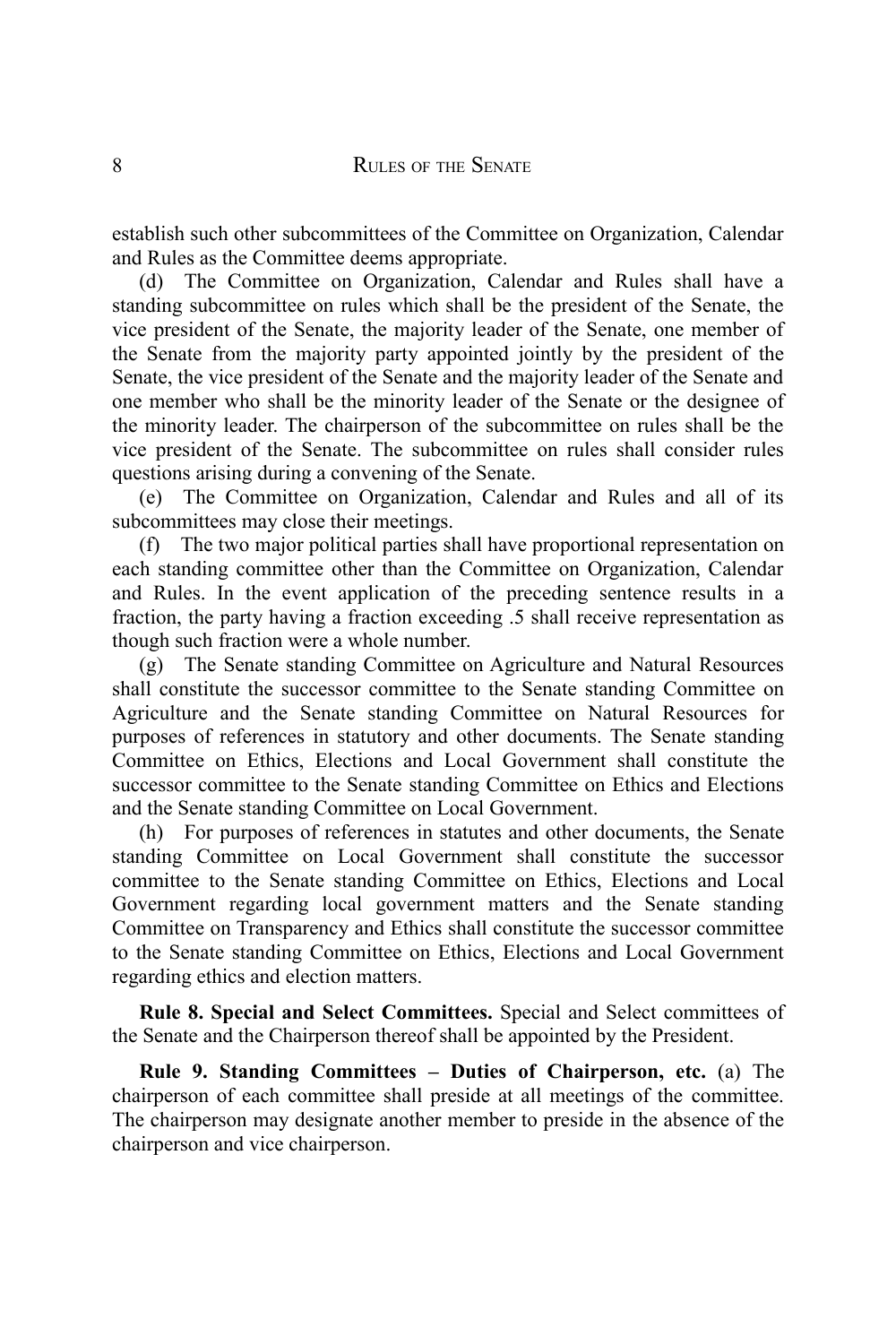establish such other subcommittees of the Committee on Organization, Calendar and Rules as the Committee deems appropriate.

(d) The Committee on Organization, Calendar and Rules shall have a standing subcommittee on rules which shall be the president of the Senate, the vice president of the Senate, the majority leader of the Senate, one member of the Senate from the majority party appointed jointly by the president of the Senate, the vice president of the Senate and the majority leader of the Senate and one member who shall be the minority leader of the Senate or the designee of the minority leader. The chairperson of the subcommittee on rules shall be the vice president of the Senate. The subcommittee on rules shall consider rules questions arising during a convening of the Senate.

(e) The Committee on Organization, Calendar and Rules and all of its subcommittees may close their meetings.

(f) The two major political parties shall have proportional representation on each standing committee other than the Committee on Organization, Calendar and Rules. In the event application of the preceding sentence results in a fraction, the party having a fraction exceeding .5 shall receive representation as though such fraction were a whole number.

(g) The Senate standing Committee on Agriculture and Natural Resources shall constitute the successor committee to the Senate standing Committee on Agriculture and the Senate standing Committee on Natural Resources for purposes of references in statutory and other documents. The Senate standing Committee on Ethics, Elections and Local Government shall constitute the successor committee to the Senate standing Committee on Ethics and Elections and the Senate standing Committee on Local Government.

(h) For purposes of references in statutes and other documents, the Senate standing Committee on Local Government shall constitute the successor committee to the Senate standing Committee on Ethics, Elections and Local Government regarding local government matters and the Senate standing Committee on Transparency and Ethics shall constitute the successor committee to the Senate standing Committee on Ethics, Elections and Local Government regarding ethics and election matters.

**Rule 8. Special and Select Committees.** Special and Select committees of the Senate and the Chairperson thereof shall be appointed by the President.

**Rule 9. Standing Committees – Duties of Chairperson, etc.** (a) The chairperson of each committee shall preside at all meetings of the committee. The chairperson may designate another member to preside in the absence of the chairperson and vice chairperson.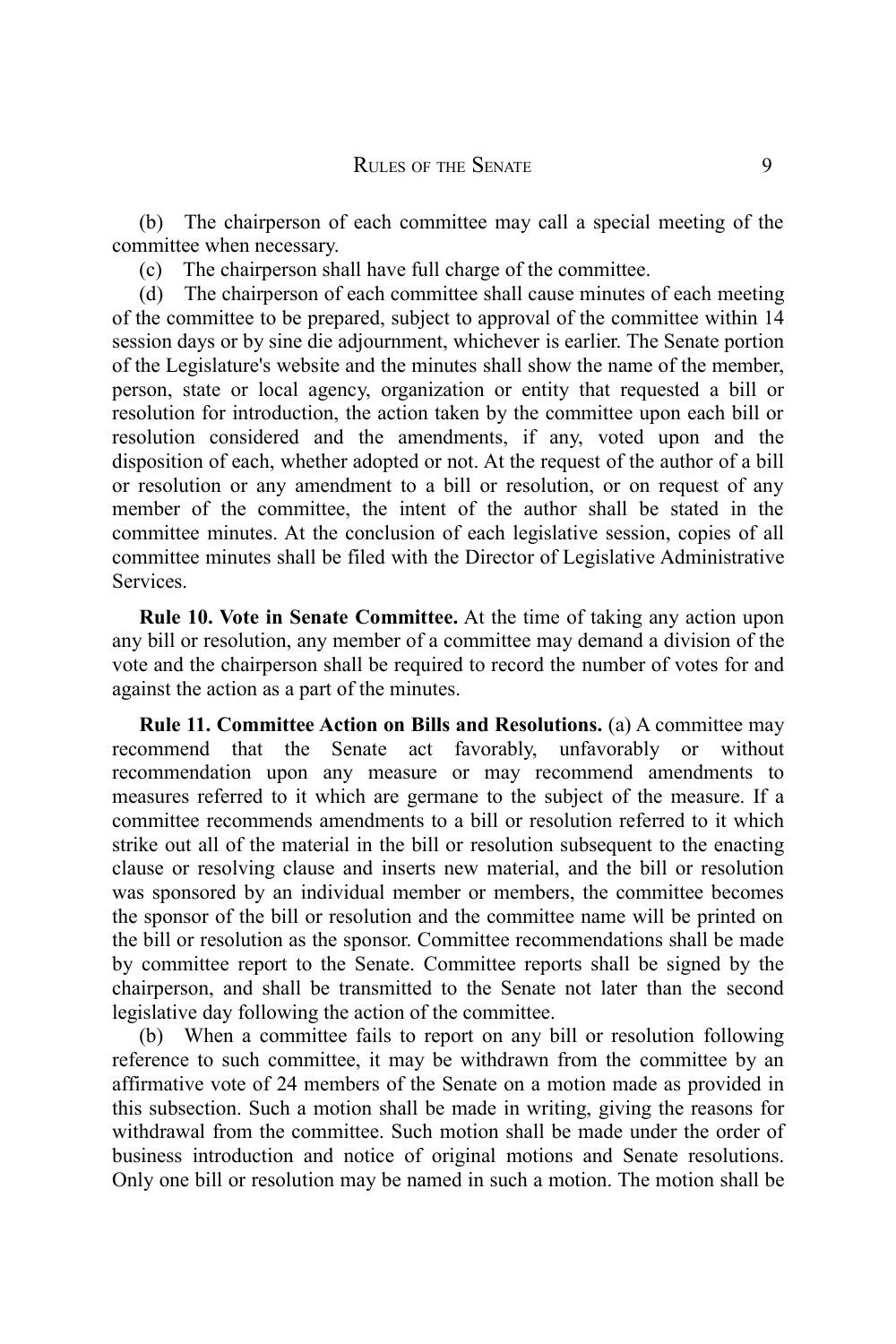(b) The chairperson of each committee may call a special meeting of the committee when necessary.

(c) The chairperson shall have full charge of the committee.

(d) The chairperson of each committee shall cause minutes of each meeting of the committee to be prepared, subject to approval of the committee within 14 session days or by sine die adjournment, whichever is earlier. The Senate portion of the Legislature's website and the minutes shall show the name of the member, person, state or local agency, organization or entity that requested a bill or resolution for introduction, the action taken by the committee upon each bill or resolution considered and the amendments, if any, voted upon and the disposition of each, whether adopted or not. At the request of the author of a bill or resolution or any amendment to a bill or resolution, or on request of any member of the committee, the intent of the author shall be stated in the committee minutes. At the conclusion of each legislative session, copies of all committee minutes shall be filed with the Director of Legislative Administrative Services.

**Rule 10. Vote in Senate Committee.** At the time of taking any action upon any bill or resolution, any member of a committee may demand a division of the vote and the chairperson shall be required to record the number of votes for and against the action as a part of the minutes.

**Rule 11. Committee Action on Bills and Resolutions.** (a) A committee may recommend that the Senate act favorably, unfavorably or without recommendation upon any measure or may recommend amendments to measures referred to it which are germane to the subject of the measure. If a committee recommends amendments to a bill or resolution referred to it which strike out all of the material in the bill or resolution subsequent to the enacting clause or resolving clause and inserts new material, and the bill or resolution was sponsored by an individual member or members, the committee becomes the sponsor of the bill or resolution and the committee name will be printed on the bill or resolution as the sponsor. Committee recommendations shall be made by committee report to the Senate. Committee reports shall be signed by the chairperson, and shall be transmitted to the Senate not later than the second legislative day following the action of the committee.

(b) When a committee fails to report on any bill or resolution following reference to such committee, it may be withdrawn from the committee by an affirmative vote of 24 members of the Senate on a motion made as provided in this subsection. Such a motion shall be made in writing, giving the reasons for withdrawal from the committee. Such motion shall be made under the order of business introduction and notice of original motions and Senate resolutions. Only one bill or resolution may be named in such a motion. The motion shall be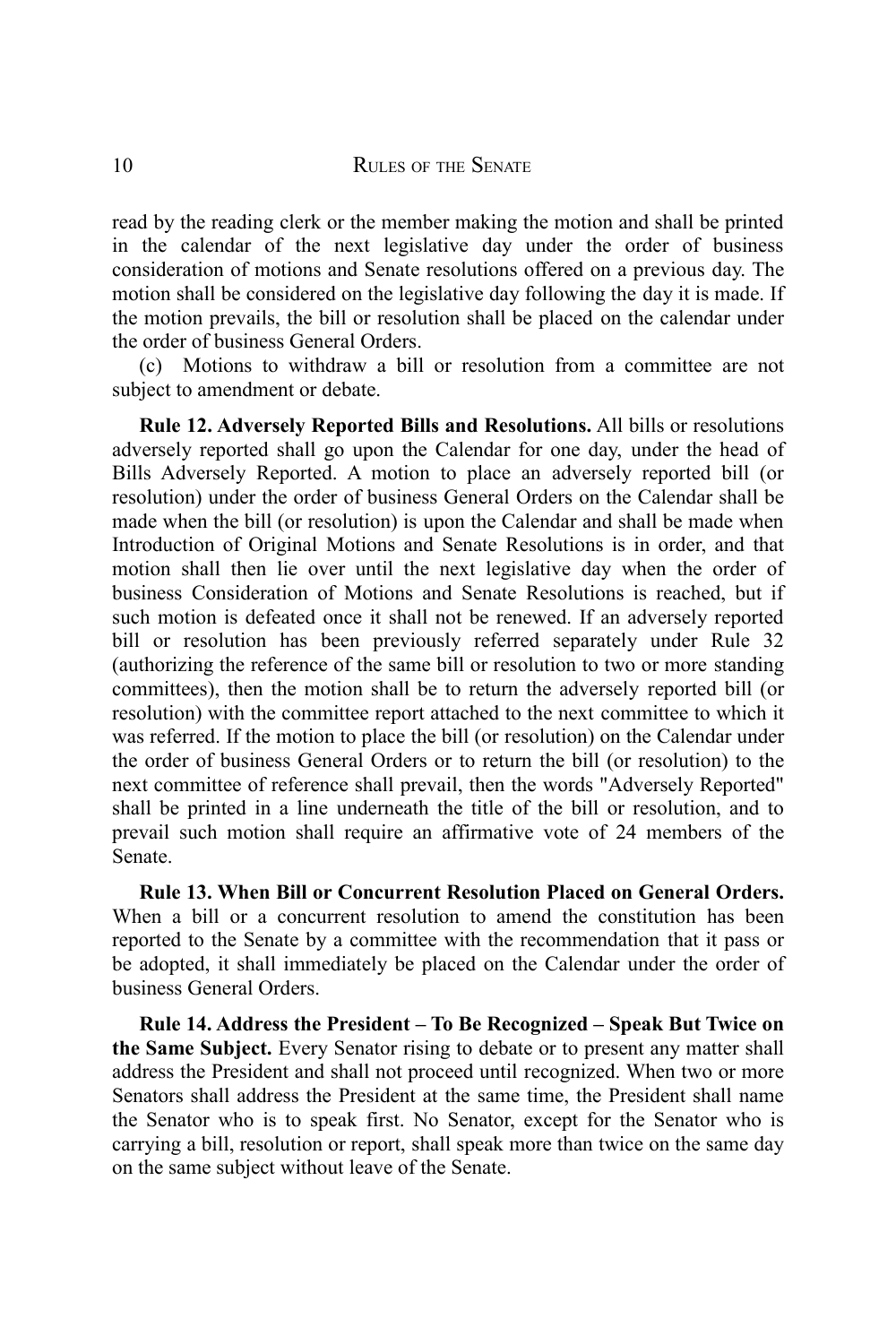read by the reading clerk or the member making the motion and shall be printed in the calendar of the next legislative day under the order of business consideration of motions and Senate resolutions offered on a previous day. The motion shall be considered on the legislative day following the day it is made. If the motion prevails, the bill or resolution shall be placed on the calendar under the order of business General Orders.

(c) Motions to withdraw a bill or resolution from a committee are not subject to amendment or debate.

**Rule 12. Adversely Reported Bills and Resolutions.** All bills or resolutions adversely reported shall go upon the Calendar for one day, under the head of Bills Adversely Reported. A motion to place an adversely reported bill (or resolution) under the order of business General Orders on the Calendar shall be made when the bill (or resolution) is upon the Calendar and shall be made when Introduction of Original Motions and Senate Resolutions is in order, and that motion shall then lie over until the next legislative day when the order of business Consideration of Motions and Senate Resolutions is reached, but if such motion is defeated once it shall not be renewed. If an adversely reported bill or resolution has been previously referred separately under Rule 32 (authorizing the reference of the same bill or resolution to two or more standing committees), then the motion shall be to return the adversely reported bill (or resolution) with the committee report attached to the next committee to which it was referred. If the motion to place the bill (or resolution) on the Calendar under the order of business General Orders or to return the bill (or resolution) to the next committee of reference shall prevail, then the words "Adversely Reported" shall be printed in a line underneath the title of the bill or resolution, and to prevail such motion shall require an affirmative vote of 24 members of the Senate.

**Rule 13. When Bill or Concurrent Resolution Placed on General Orders.** When a bill or a concurrent resolution to amend the constitution has been reported to the Senate by a committee with the recommendation that it pass or be adopted, it shall immediately be placed on the Calendar under the order of business General Orders.

**Rule 14. Address the President – To Be Recognized – Speak But Twice on the Same Subject.** Every Senator rising to debate or to present any matter shall address the President and shall not proceed until recognized. When two or more Senators shall address the President at the same time, the President shall name the Senator who is to speak first. No Senator, except for the Senator who is carrying a bill, resolution or report, shall speak more than twice on the same day on the same subject without leave of the Senate.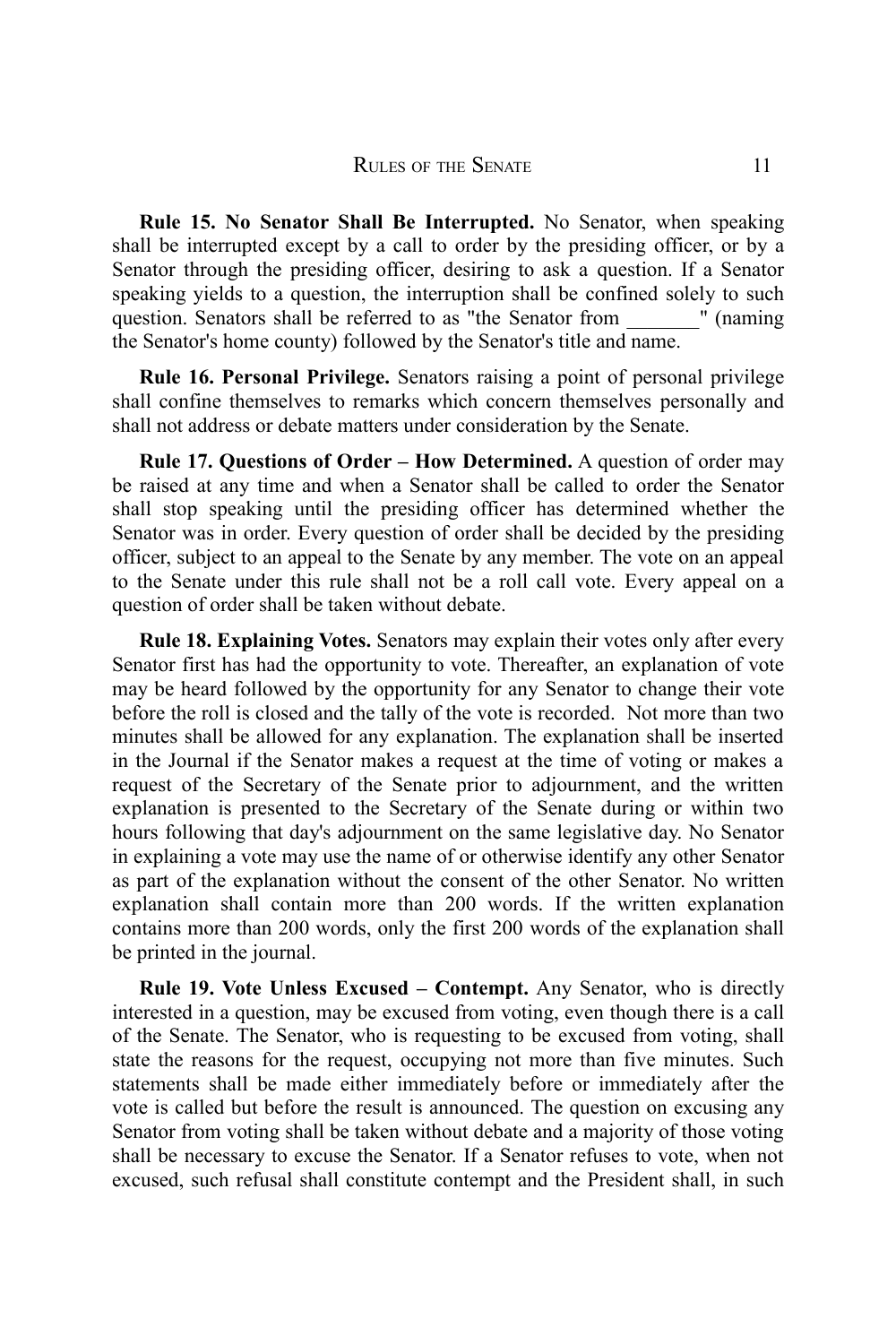**Rule 15. No Senator Shall Be Interrupted.** No Senator, when speaking shall be interrupted except by a call to order by the presiding officer, or by a Senator through the presiding officer, desiring to ask a question. If a Senator speaking yields to a question, the interruption shall be confined solely to such question. Senators shall be referred to as "the Senator from " (naming the Senator's home county) followed by the Senator's title and name.

**Rule 16. Personal Privilege.** Senators raising a point of personal privilege shall confine themselves to remarks which concern themselves personally and shall not address or debate matters under consideration by the Senate.

**Rule 17. Questions of Order – How Determined.** A question of order may be raised at any time and when a Senator shall be called to order the Senator shall stop speaking until the presiding officer has determined whether the Senator was in order. Every question of order shall be decided by the presiding officer, subject to an appeal to the Senate by any member. The vote on an appeal to the Senate under this rule shall not be a roll call vote. Every appeal on a question of order shall be taken without debate.

**Rule 18. Explaining Votes.** Senators may explain their votes only after every Senator first has had the opportunity to vote. Thereafter, an explanation of vote may be heard followed by the opportunity for any Senator to change their vote before the roll is closed and the tally of the vote is recorded. Not more than two minutes shall be allowed for any explanation. The explanation shall be inserted in the Journal if the Senator makes a request at the time of voting or makes a request of the Secretary of the Senate prior to adjournment, and the written explanation is presented to the Secretary of the Senate during or within two hours following that day's adjournment on the same legislative day. No Senator in explaining a vote may use the name of or otherwise identify any other Senator as part of the explanation without the consent of the other Senator. No written explanation shall contain more than 200 words. If the written explanation contains more than 200 words, only the first 200 words of the explanation shall be printed in the journal.

**Rule 19. Vote Unless Excused – Contempt.** Any Senator, who is directly interested in a question, may be excused from voting, even though there is a call of the Senate. The Senator, who is requesting to be excused from voting, shall state the reasons for the request, occupying not more than five minutes. Such statements shall be made either immediately before or immediately after the vote is called but before the result is announced. The question on excusing any Senator from voting shall be taken without debate and a majority of those voting shall be necessary to excuse the Senator. If a Senator refuses to vote, when not excused, such refusal shall constitute contempt and the President shall, in such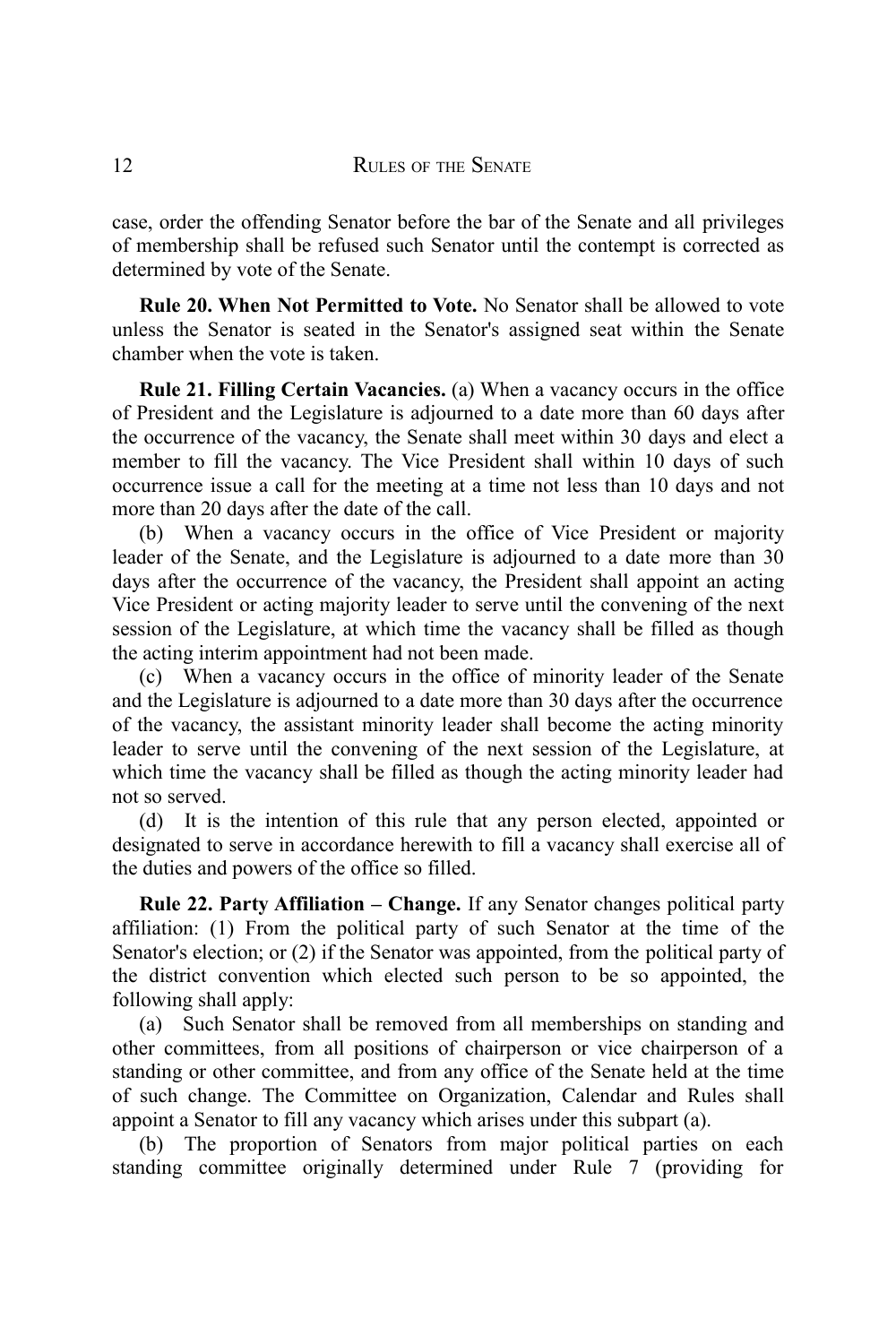case, order the offending Senator before the bar of the Senate and all privileges of membership shall be refused such Senator until the contempt is corrected as determined by vote of the Senate.

**Rule 20. When Not Permitted to Vote.** No Senator shall be allowed to vote unless the Senator is seated in the Senator's assigned seat within the Senate chamber when the vote is taken.

**Rule 21. Filling Certain Vacancies.** (a) When a vacancy occurs in the office of President and the Legislature is adjourned to a date more than 60 days after the occurrence of the vacancy, the Senate shall meet within 30 days and elect a member to fill the vacancy. The Vice President shall within 10 days of such occurrence issue a call for the meeting at a time not less than 10 days and not more than 20 days after the date of the call.

(b) When a vacancy occurs in the office of Vice President or majority leader of the Senate, and the Legislature is adjourned to a date more than 30 days after the occurrence of the vacancy, the President shall appoint an acting Vice President or acting majority leader to serve until the convening of the next session of the Legislature, at which time the vacancy shall be filled as though the acting interim appointment had not been made.

(c) When a vacancy occurs in the office of minority leader of the Senate and the Legislature is adjourned to a date more than 30 days after the occurrence of the vacancy, the assistant minority leader shall become the acting minority leader to serve until the convening of the next session of the Legislature, at which time the vacancy shall be filled as though the acting minority leader had not so served.

(d) It is the intention of this rule that any person elected, appointed or designated to serve in accordance herewith to fill a vacancy shall exercise all of the duties and powers of the office so filled.

**Rule 22. Party Affiliation – Change.** If any Senator changes political party affiliation: (1) From the political party of such Senator at the time of the Senator's election; or (2) if the Senator was appointed, from the political party of the district convention which elected such person to be so appointed, the following shall apply:

(a) Such Senator shall be removed from all memberships on standing and other committees, from all positions of chairperson or vice chairperson of a standing or other committee, and from any office of the Senate held at the time of such change. The Committee on Organization, Calendar and Rules shall appoint a Senator to fill any vacancy which arises under this subpart (a).

(b) The proportion of Senators from major political parties on each standing committee originally determined under Rule 7 (providing for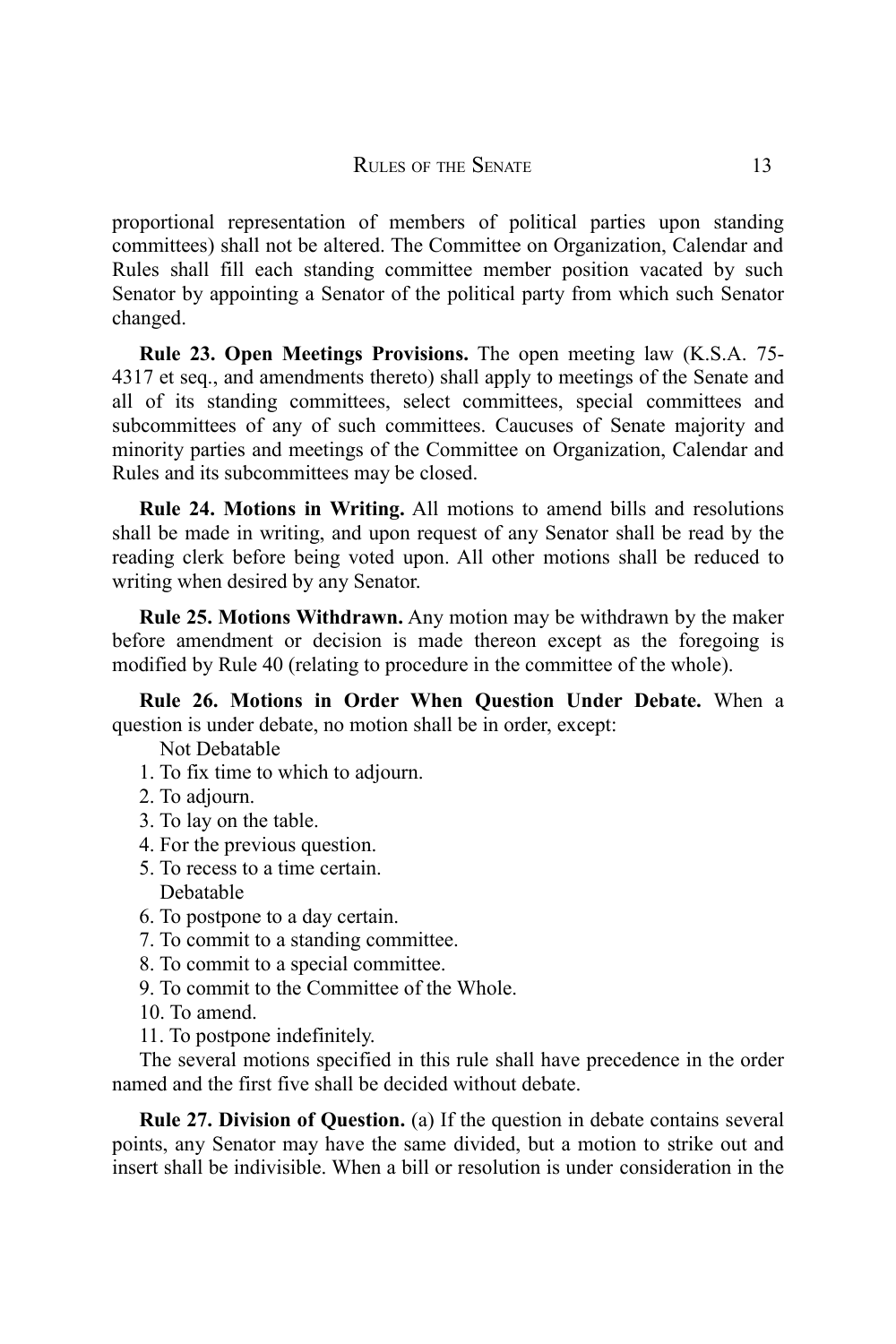proportional representation of members of political parties upon standing committees) shall not be altered. The Committee on Organization, Calendar and Rules shall fill each standing committee member position vacated by such Senator by appointing a Senator of the political party from which such Senator changed.

**Rule 23. Open Meetings Provisions.** The open meeting law (K.S.A. 75- 4317 et seq., and amendments thereto) shall apply to meetings of the Senate and all of its standing committees, select committees, special committees and subcommittees of any of such committees. Caucuses of Senate majority and minority parties and meetings of the Committee on Organization, Calendar and Rules and its subcommittees may be closed.

**Rule 24. Motions in Writing.** All motions to amend bills and resolutions shall be made in writing, and upon request of any Senator shall be read by the reading clerk before being voted upon. All other motions shall be reduced to writing when desired by any Senator.

**Rule 25. Motions Withdrawn.** Any motion may be withdrawn by the maker before amendment or decision is made thereon except as the foregoing is modified by Rule 40 (relating to procedure in the committee of the whole).

**Rule 26. Motions in Order When Question Under Debate.** When a question is under debate, no motion shall be in order, except:

Not Debatable

- 1. To fix time to which to adjourn.
- 2. To adjourn.
- 3. To lay on the table.
- 4. For the previous question.
- 5. To recess to a time certain. Debatable
- 6. To postpone to a day certain.
- 7. To commit to a standing committee.
- 8. To commit to a special committee.
- 9. To commit to the Committee of the Whole.
- 10. To amend.
- 11. To postpone indefinitely.

The several motions specified in this rule shall have precedence in the order named and the first five shall be decided without debate.

**Rule 27. Division of Question.** (a) If the question in debate contains several points, any Senator may have the same divided, but a motion to strike out and insert shall be indivisible. When a bill or resolution is under consideration in the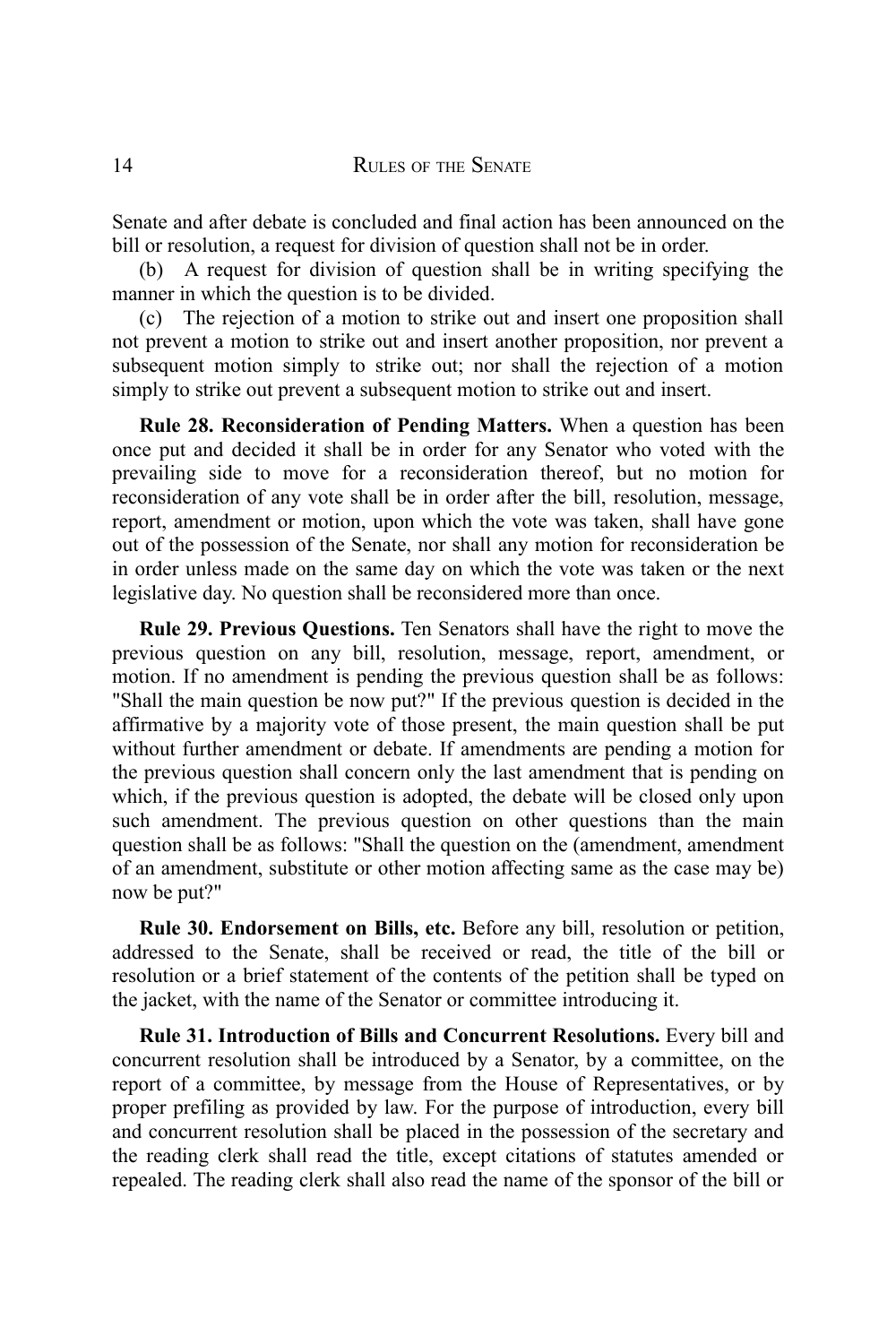Senate and after debate is concluded and final action has been announced on the bill or resolution, a request for division of question shall not be in order.

(b) A request for division of question shall be in writing specifying the manner in which the question is to be divided.

(c) The rejection of a motion to strike out and insert one proposition shall not prevent a motion to strike out and insert another proposition, nor prevent a subsequent motion simply to strike out; nor shall the rejection of a motion simply to strike out prevent a subsequent motion to strike out and insert.

**Rule 28. Reconsideration of Pending Matters.** When a question has been once put and decided it shall be in order for any Senator who voted with the prevailing side to move for a reconsideration thereof, but no motion for reconsideration of any vote shall be in order after the bill, resolution, message, report, amendment or motion, upon which the vote was taken, shall have gone out of the possession of the Senate, nor shall any motion for reconsideration be in order unless made on the same day on which the vote was taken or the next legislative day. No question shall be reconsidered more than once.

**Rule 29. Previous Questions.** Ten Senators shall have the right to move the previous question on any bill, resolution, message, report, amendment, or motion. If no amendment is pending the previous question shall be as follows: "Shall the main question be now put?" If the previous question is decided in the affirmative by a majority vote of those present, the main question shall be put without further amendment or debate. If amendments are pending a motion for the previous question shall concern only the last amendment that is pending on which, if the previous question is adopted, the debate will be closed only upon such amendment. The previous question on other questions than the main question shall be as follows: "Shall the question on the (amendment, amendment of an amendment, substitute or other motion affecting same as the case may be) now be put?"

**Rule 30. Endorsement on Bills, etc.** Before any bill, resolution or petition, addressed to the Senate, shall be received or read, the title of the bill or resolution or a brief statement of the contents of the petition shall be typed on the jacket, with the name of the Senator or committee introducing it.

**Rule 31. Introduction of Bills and Concurrent Resolutions.** Every bill and concurrent resolution shall be introduced by a Senator, by a committee, on the report of a committee, by message from the House of Representatives, or by proper prefiling as provided by law. For the purpose of introduction, every bill and concurrent resolution shall be placed in the possession of the secretary and the reading clerk shall read the title, except citations of statutes amended or repealed. The reading clerk shall also read the name of the sponsor of the bill or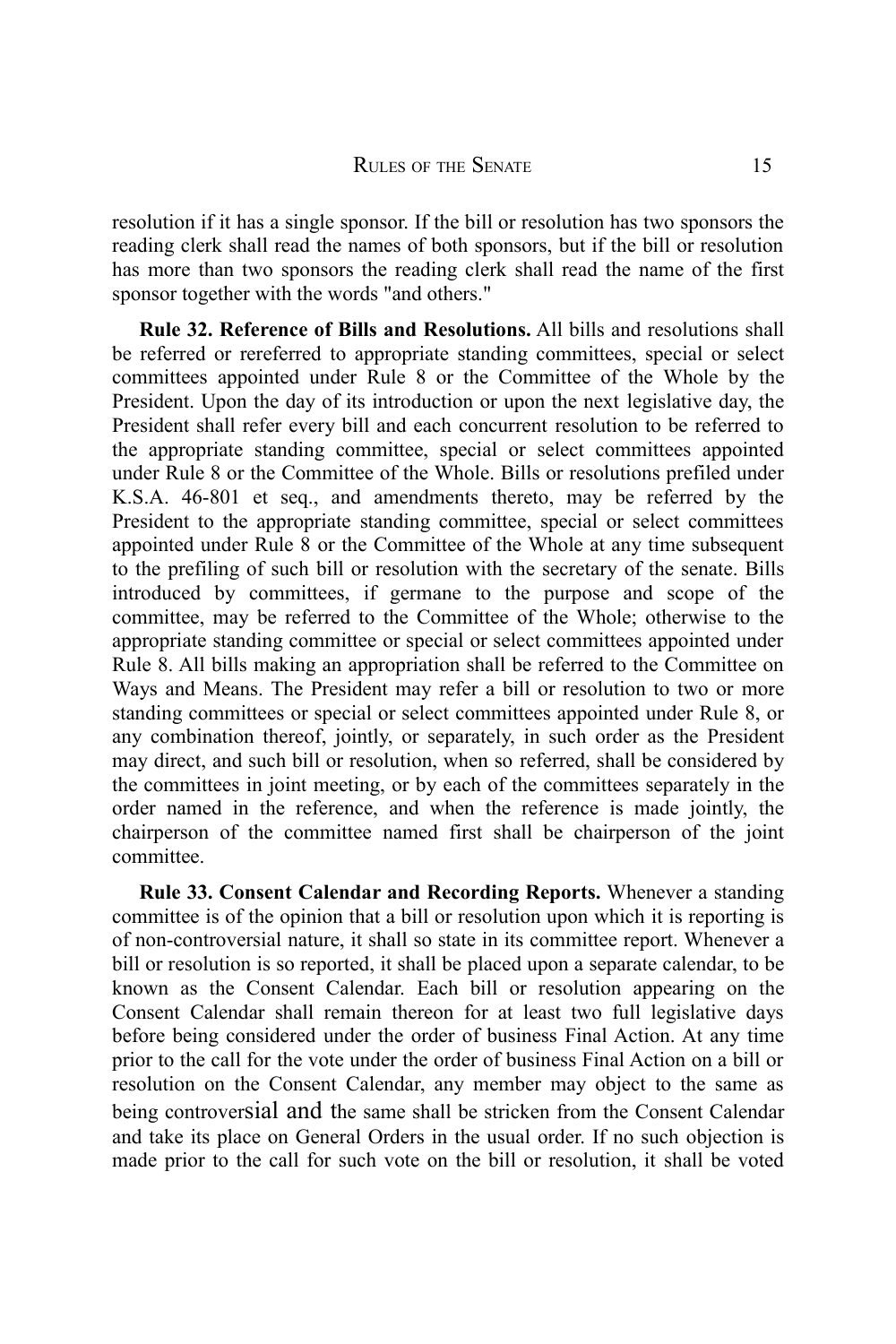resolution if it has a single sponsor. If the bill or resolution has two sponsors the reading clerk shall read the names of both sponsors, but if the bill or resolution has more than two sponsors the reading clerk shall read the name of the first sponsor together with the words "and others."

**Rule 32. Reference of Bills and Resolutions.** All bills and resolutions shall be referred or rereferred to appropriate standing committees, special or select committees appointed under Rule 8 or the Committee of the Whole by the President. Upon the day of its introduction or upon the next legislative day, the President shall refer every bill and each concurrent resolution to be referred to the appropriate standing committee, special or select committees appointed under Rule 8 or the Committee of the Whole. Bills or resolutions prefiled under K.S.A. 46-801 et seq., and amendments thereto, may be referred by the President to the appropriate standing committee, special or select committees appointed under Rule 8 or the Committee of the Whole at any time subsequent to the prefiling of such bill or resolution with the secretary of the senate. Bills introduced by committees, if germane to the purpose and scope of the committee, may be referred to the Committee of the Whole; otherwise to the appropriate standing committee or special or select committees appointed under Rule 8. All bills making an appropriation shall be referred to the Committee on Ways and Means. The President may refer a bill or resolution to two or more standing committees or special or select committees appointed under Rule 8, or any combination thereof, jointly, or separately, in such order as the President may direct, and such bill or resolution, when so referred, shall be considered by the committees in joint meeting, or by each of the committees separately in the order named in the reference, and when the reference is made jointly, the chairperson of the committee named first shall be chairperson of the joint committee.

**Rule 33. Consent Calendar and Recording Reports.** Whenever a standing committee is of the opinion that a bill or resolution upon which it is reporting is of non-controversial nature, it shall so state in its committee report. Whenever a bill or resolution is so reported, it shall be placed upon a separate calendar, to be known as the Consent Calendar. Each bill or resolution appearing on the Consent Calendar shall remain thereon for at least two full legislative days before being considered under the order of business Final Action. At any time prior to the call for the vote under the order of business Final Action on a bill or resolution on the Consent Calendar, any member may object to the same as being controversial and the same shall be stricken from the Consent Calendar and take its place on General Orders in the usual order. If no such objection is made prior to the call for such vote on the bill or resolution, it shall be voted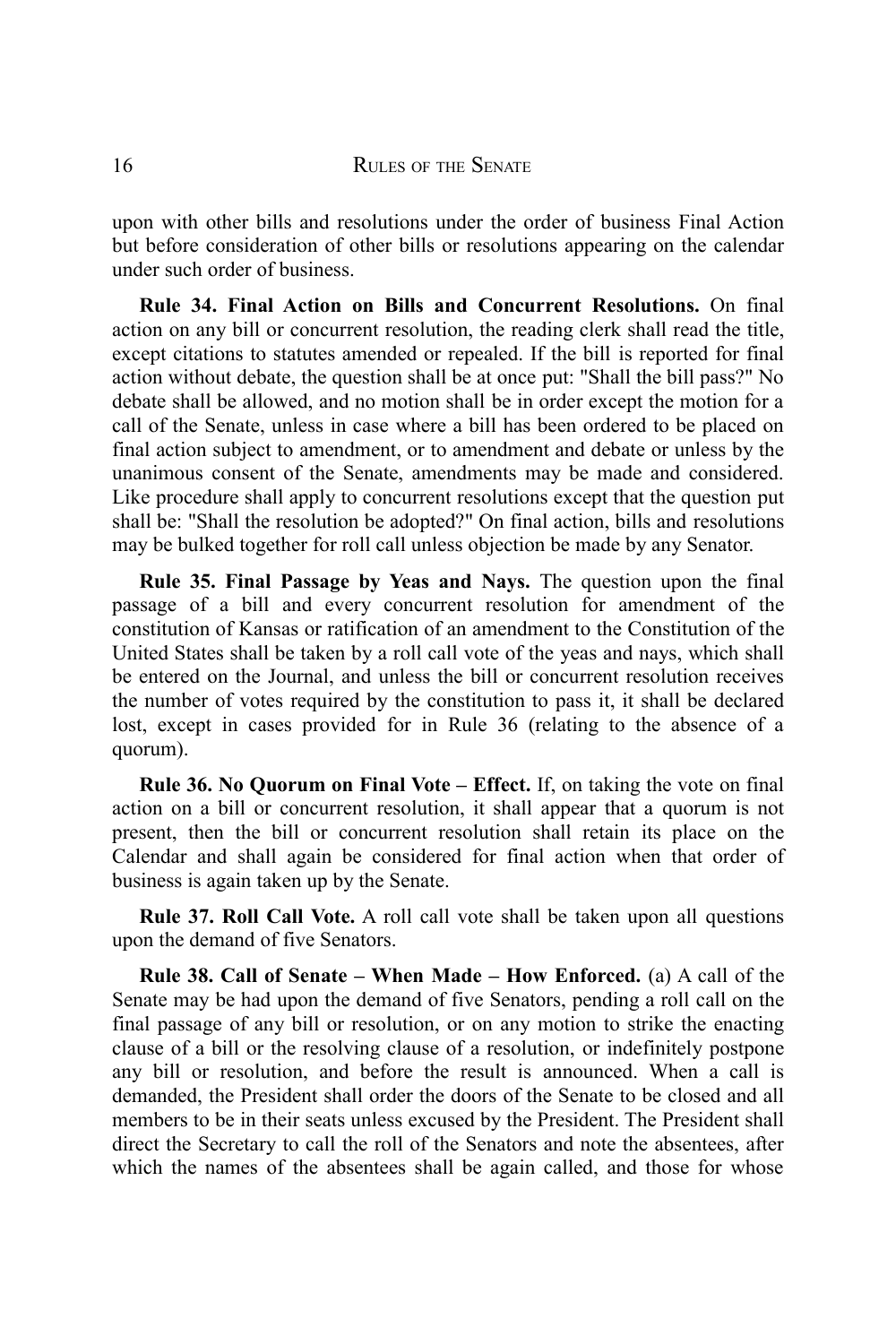upon with other bills and resolutions under the order of business Final Action but before consideration of other bills or resolutions appearing on the calendar under such order of business.

**Rule 34. Final Action on Bills and Concurrent Resolutions.** On final action on any bill or concurrent resolution, the reading clerk shall read the title, except citations to statutes amended or repealed. If the bill is reported for final action without debate, the question shall be at once put: "Shall the bill pass?" No debate shall be allowed, and no motion shall be in order except the motion for a call of the Senate, unless in case where a bill has been ordered to be placed on final action subject to amendment, or to amendment and debate or unless by the unanimous consent of the Senate, amendments may be made and considered. Like procedure shall apply to concurrent resolutions except that the question put shall be: "Shall the resolution be adopted?" On final action, bills and resolutions may be bulked together for roll call unless objection be made by any Senator.

**Rule 35. Final Passage by Yeas and Nays.** The question upon the final passage of a bill and every concurrent resolution for amendment of the constitution of Kansas or ratification of an amendment to the Constitution of the United States shall be taken by a roll call vote of the yeas and nays, which shall be entered on the Journal, and unless the bill or concurrent resolution receives the number of votes required by the constitution to pass it, it shall be declared lost, except in cases provided for in Rule 36 (relating to the absence of a quorum).

**Rule 36. No Quorum on Final Vote – Effect.** If, on taking the vote on final action on a bill or concurrent resolution, it shall appear that a quorum is not present, then the bill or concurrent resolution shall retain its place on the Calendar and shall again be considered for final action when that order of business is again taken up by the Senate.

**Rule 37. Roll Call Vote.** A roll call vote shall be taken upon all questions upon the demand of five Senators.

**Rule 38. Call of Senate – When Made – How Enforced.** (a) A call of the Senate may be had upon the demand of five Senators, pending a roll call on the final passage of any bill or resolution, or on any motion to strike the enacting clause of a bill or the resolving clause of a resolution, or indefinitely postpone any bill or resolution, and before the result is announced. When a call is demanded, the President shall order the doors of the Senate to be closed and all members to be in their seats unless excused by the President. The President shall direct the Secretary to call the roll of the Senators and note the absentees, after which the names of the absentees shall be again called, and those for whose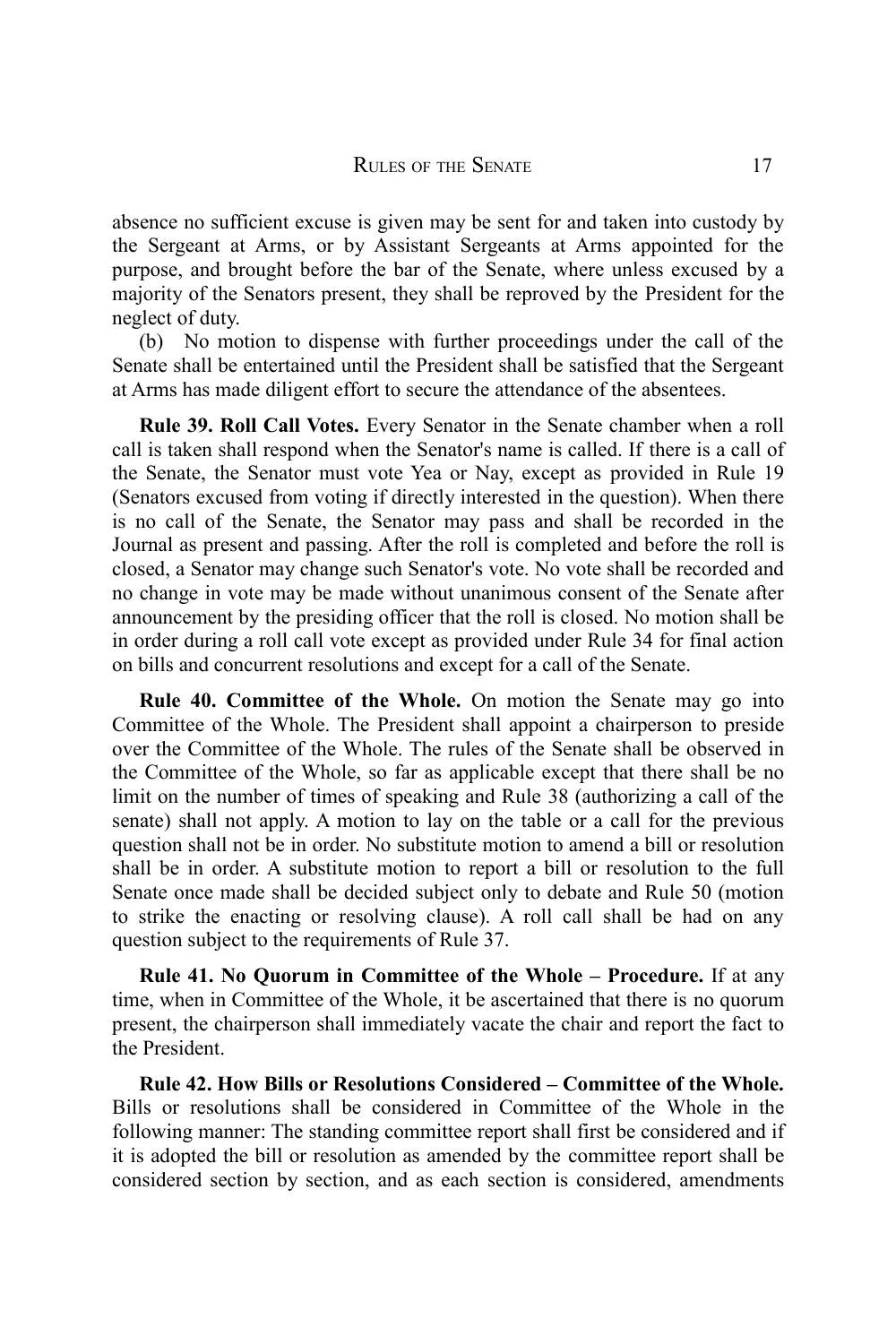absence no sufficient excuse is given may be sent for and taken into custody by the Sergeant at Arms, or by Assistant Sergeants at Arms appointed for the purpose, and brought before the bar of the Senate, where unless excused by a majority of the Senators present, they shall be reproved by the President for the neglect of duty.

(b) No motion to dispense with further proceedings under the call of the Senate shall be entertained until the President shall be satisfied that the Sergeant at Arms has made diligent effort to secure the attendance of the absentees.

**Rule 39. Roll Call Votes.** Every Senator in the Senate chamber when a roll call is taken shall respond when the Senator's name is called. If there is a call of the Senate, the Senator must vote Yea or Nay, except as provided in Rule 19 (Senators excused from voting if directly interested in the question). When there is no call of the Senate, the Senator may pass and shall be recorded in the Journal as present and passing. After the roll is completed and before the roll is closed, a Senator may change such Senator's vote. No vote shall be recorded and no change in vote may be made without unanimous consent of the Senate after announcement by the presiding officer that the roll is closed. No motion shall be in order during a roll call vote except as provided under Rule 34 for final action on bills and concurrent resolutions and except for a call of the Senate.

**Rule 40. Committee of the Whole.** On motion the Senate may go into Committee of the Whole. The President shall appoint a chairperson to preside over the Committee of the Whole. The rules of the Senate shall be observed in the Committee of the Whole, so far as applicable except that there shall be no limit on the number of times of speaking and Rule 38 (authorizing a call of the senate) shall not apply. A motion to lay on the table or a call for the previous question shall not be in order. No substitute motion to amend a bill or resolution shall be in order. A substitute motion to report a bill or resolution to the full Senate once made shall be decided subject only to debate and Rule 50 (motion to strike the enacting or resolving clause). A roll call shall be had on any question subject to the requirements of Rule 37.

**Rule 41. No Quorum in Committee of the Whole – Procedure.** If at any time, when in Committee of the Whole, it be ascertained that there is no quorum present, the chairperson shall immediately vacate the chair and report the fact to the President.

**Rule 42. How Bills or Resolutions Considered – Committee of the Whole.** Bills or resolutions shall be considered in Committee of the Whole in the following manner: The standing committee report shall first be considered and if it is adopted the bill or resolution as amended by the committee report shall be considered section by section, and as each section is considered, amendments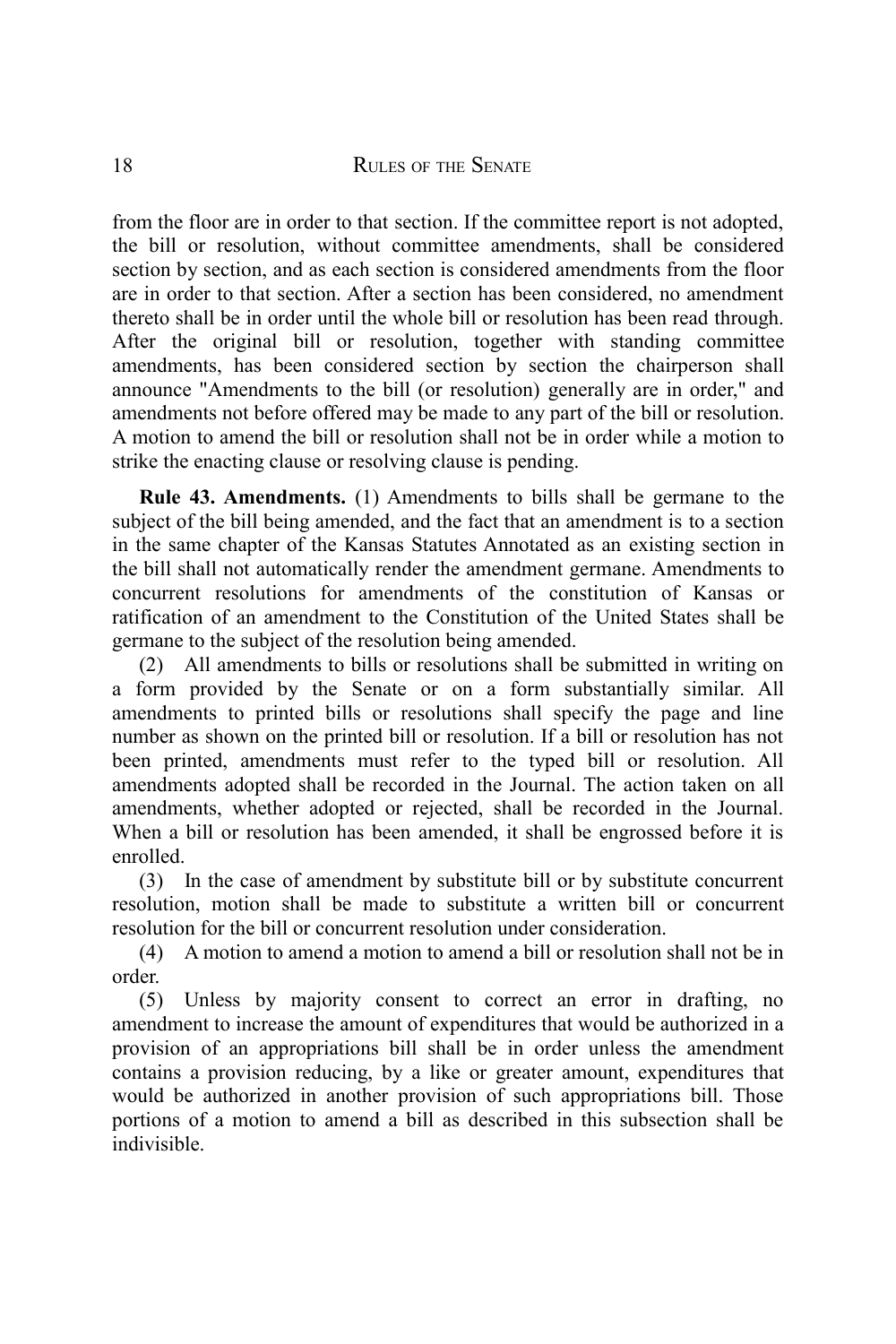from the floor are in order to that section. If the committee report is not adopted, the bill or resolution, without committee amendments, shall be considered section by section, and as each section is considered amendments from the floor are in order to that section. After a section has been considered, no amendment thereto shall be in order until the whole bill or resolution has been read through. After the original bill or resolution, together with standing committee amendments, has been considered section by section the chairperson shall announce "Amendments to the bill (or resolution) generally are in order," and amendments not before offered may be made to any part of the bill or resolution. A motion to amend the bill or resolution shall not be in order while a motion to strike the enacting clause or resolving clause is pending.

**Rule 43. Amendments.** (1) Amendments to bills shall be germane to the subject of the bill being amended, and the fact that an amendment is to a section in the same chapter of the Kansas Statutes Annotated as an existing section in the bill shall not automatically render the amendment germane. Amendments to concurrent resolutions for amendments of the constitution of Kansas or ratification of an amendment to the Constitution of the United States shall be germane to the subject of the resolution being amended.

(2) All amendments to bills or resolutions shall be submitted in writing on a form provided by the Senate or on a form substantially similar. All amendments to printed bills or resolutions shall specify the page and line number as shown on the printed bill or resolution. If a bill or resolution has not been printed, amendments must refer to the typed bill or resolution. All amendments adopted shall be recorded in the Journal. The action taken on all amendments, whether adopted or rejected, shall be recorded in the Journal. When a bill or resolution has been amended, it shall be engrossed before it is enrolled.

(3) In the case of amendment by substitute bill or by substitute concurrent resolution, motion shall be made to substitute a written bill or concurrent resolution for the bill or concurrent resolution under consideration.

(4) A motion to amend a motion to amend a bill or resolution shall not be in order.

(5) Unless by majority consent to correct an error in drafting, no amendment to increase the amount of expenditures that would be authorized in a provision of an appropriations bill shall be in order unless the amendment contains a provision reducing, by a like or greater amount, expenditures that would be authorized in another provision of such appropriations bill. Those portions of a motion to amend a bill as described in this subsection shall be indivisible.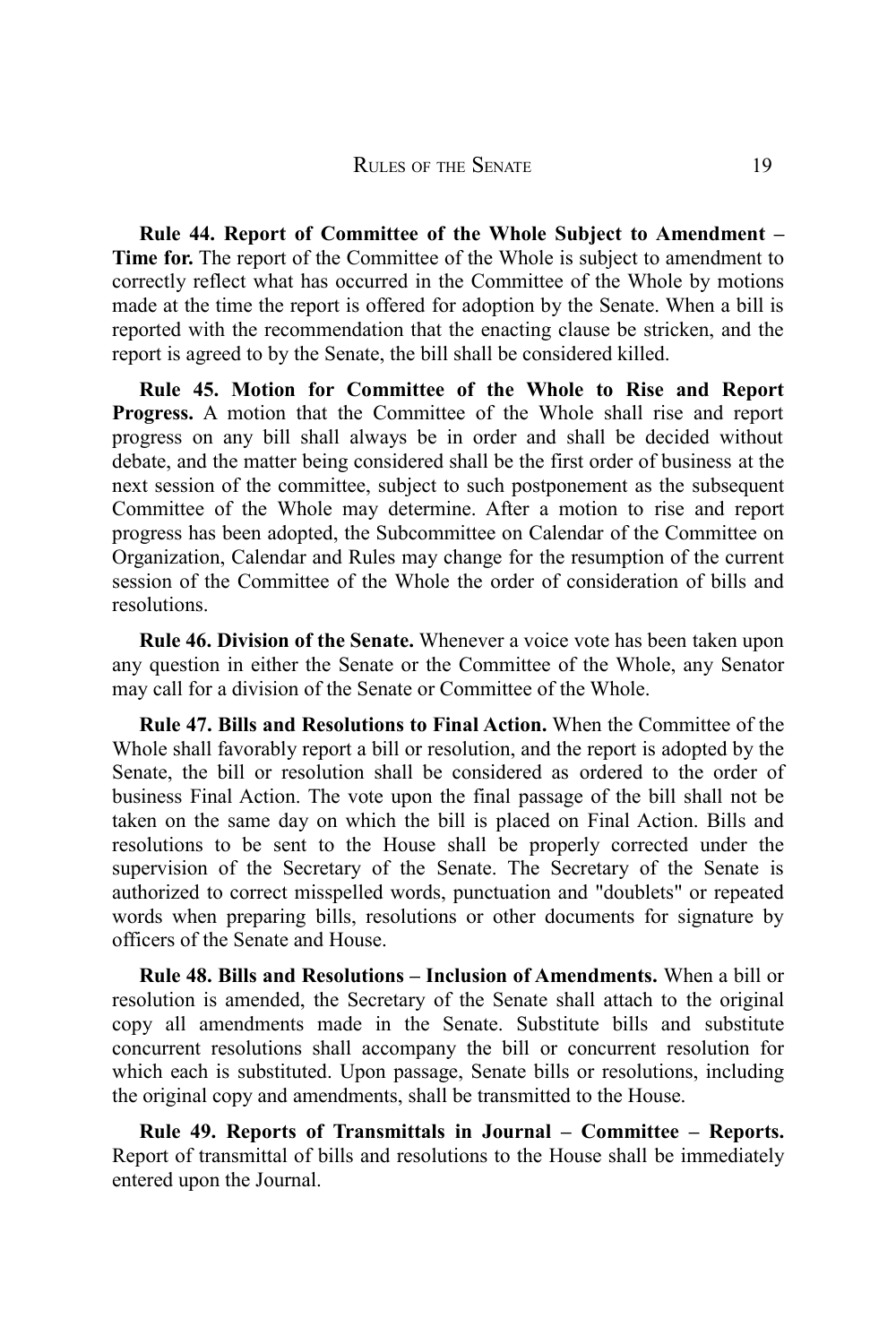**Rule 44. Report of Committee of the Whole Subject to Amendment – Time for.** The report of the Committee of the Whole is subject to amendment to correctly reflect what has occurred in the Committee of the Whole by motions made at the time the report is offered for adoption by the Senate. When a bill is reported with the recommendation that the enacting clause be stricken, and the report is agreed to by the Senate, the bill shall be considered killed.

**Rule 45. Motion for Committee of the Whole to Rise and Report Progress.** A motion that the Committee of the Whole shall rise and report progress on any bill shall always be in order and shall be decided without debate, and the matter being considered shall be the first order of business at the next session of the committee, subject to such postponement as the subsequent Committee of the Whole may determine. After a motion to rise and report progress has been adopted, the Subcommittee on Calendar of the Committee on Organization, Calendar and Rules may change for the resumption of the current session of the Committee of the Whole the order of consideration of bills and resolutions.

**Rule 46. Division of the Senate.** Whenever a voice vote has been taken upon any question in either the Senate or the Committee of the Whole, any Senator may call for a division of the Senate or Committee of the Whole.

**Rule 47. Bills and Resolutions to Final Action.** When the Committee of the Whole shall favorably report a bill or resolution, and the report is adopted by the Senate, the bill or resolution shall be considered as ordered to the order of business Final Action. The vote upon the final passage of the bill shall not be taken on the same day on which the bill is placed on Final Action. Bills and resolutions to be sent to the House shall be properly corrected under the supervision of the Secretary of the Senate. The Secretary of the Senate is authorized to correct misspelled words, punctuation and "doublets" or repeated words when preparing bills, resolutions or other documents for signature by officers of the Senate and House.

**Rule 48. Bills and Resolutions – Inclusion of Amendments.** When a bill or resolution is amended, the Secretary of the Senate shall attach to the original copy all amendments made in the Senate. Substitute bills and substitute concurrent resolutions shall accompany the bill or concurrent resolution for which each is substituted. Upon passage, Senate bills or resolutions, including the original copy and amendments, shall be transmitted to the House.

**Rule 49. Reports of Transmittals in Journal – Committee – Reports.** Report of transmittal of bills and resolutions to the House shall be immediately entered upon the Journal.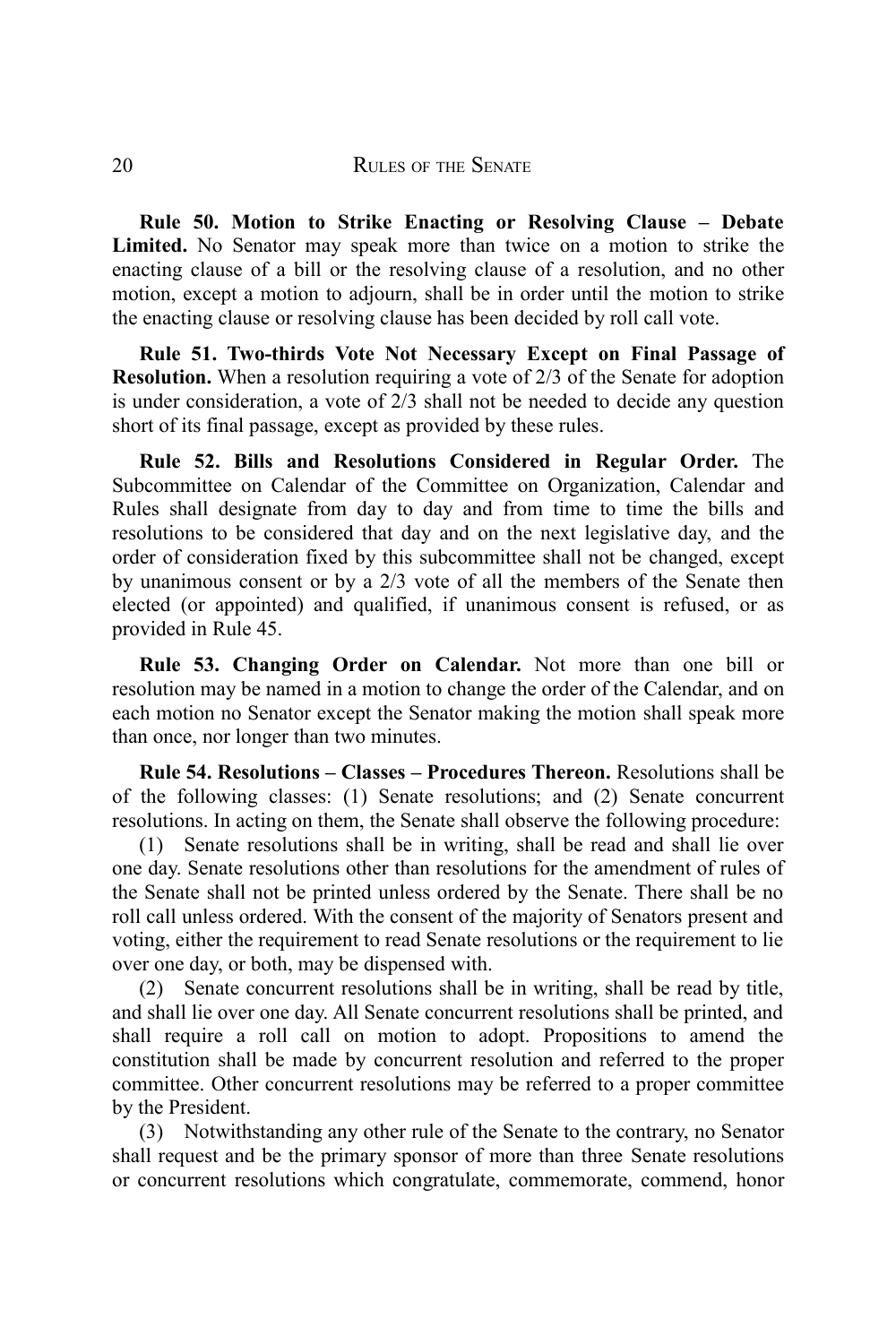**Rule 50. Motion to Strike Enacting or Resolving Clause – Debate Limited.** No Senator may speak more than twice on a motion to strike the enacting clause of a bill or the resolving clause of a resolution, and no other motion, except a motion to adjourn, shall be in order until the motion to strike the enacting clause or resolving clause has been decided by roll call vote.

**Rule 51. Two-thirds Vote Not Necessary Except on Final Passage of Resolution.** When a resolution requiring a vote of 2/3 of the Senate for adoption is under consideration, a vote of 2/3 shall not be needed to decide any question short of its final passage, except as provided by these rules.

**Rule 52. Bills and Resolutions Considered in Regular Order.** The Subcommittee on Calendar of the Committee on Organization, Calendar and Rules shall designate from day to day and from time to time the bills and resolutions to be considered that day and on the next legislative day, and the order of consideration fixed by this subcommittee shall not be changed, except by unanimous consent or by a 2/3 vote of all the members of the Senate then elected (or appointed) and qualified, if unanimous consent is refused, or as provided in Rule 45.

**Rule 53. Changing Order on Calendar.** Not more than one bill or resolution may be named in a motion to change the order of the Calendar, and on each motion no Senator except the Senator making the motion shall speak more than once, nor longer than two minutes.

**Rule 54. Resolutions – Classes – Procedures Thereon.** Resolutions shall be of the following classes: (1) Senate resolutions; and (2) Senate concurrent resolutions. In acting on them, the Senate shall observe the following procedure:

(1) Senate resolutions shall be in writing, shall be read and shall lie over one day. Senate resolutions other than resolutions for the amendment of rules of the Senate shall not be printed unless ordered by the Senate. There shall be no roll call unless ordered. With the consent of the majority of Senators present and voting, either the requirement to read Senate resolutions or the requirement to lie over one day, or both, may be dispensed with.

(2) Senate concurrent resolutions shall be in writing, shall be read by title, and shall lie over one day. All Senate concurrent resolutions shall be printed, and shall require a roll call on motion to adopt. Propositions to amend the constitution shall be made by concurrent resolution and referred to the proper committee. Other concurrent resolutions may be referred to a proper committee by the President.

(3) Notwithstanding any other rule of the Senate to the contrary, no Senator shall request and be the primary sponsor of more than three Senate resolutions or concurrent resolutions which congratulate, commemorate, commend, honor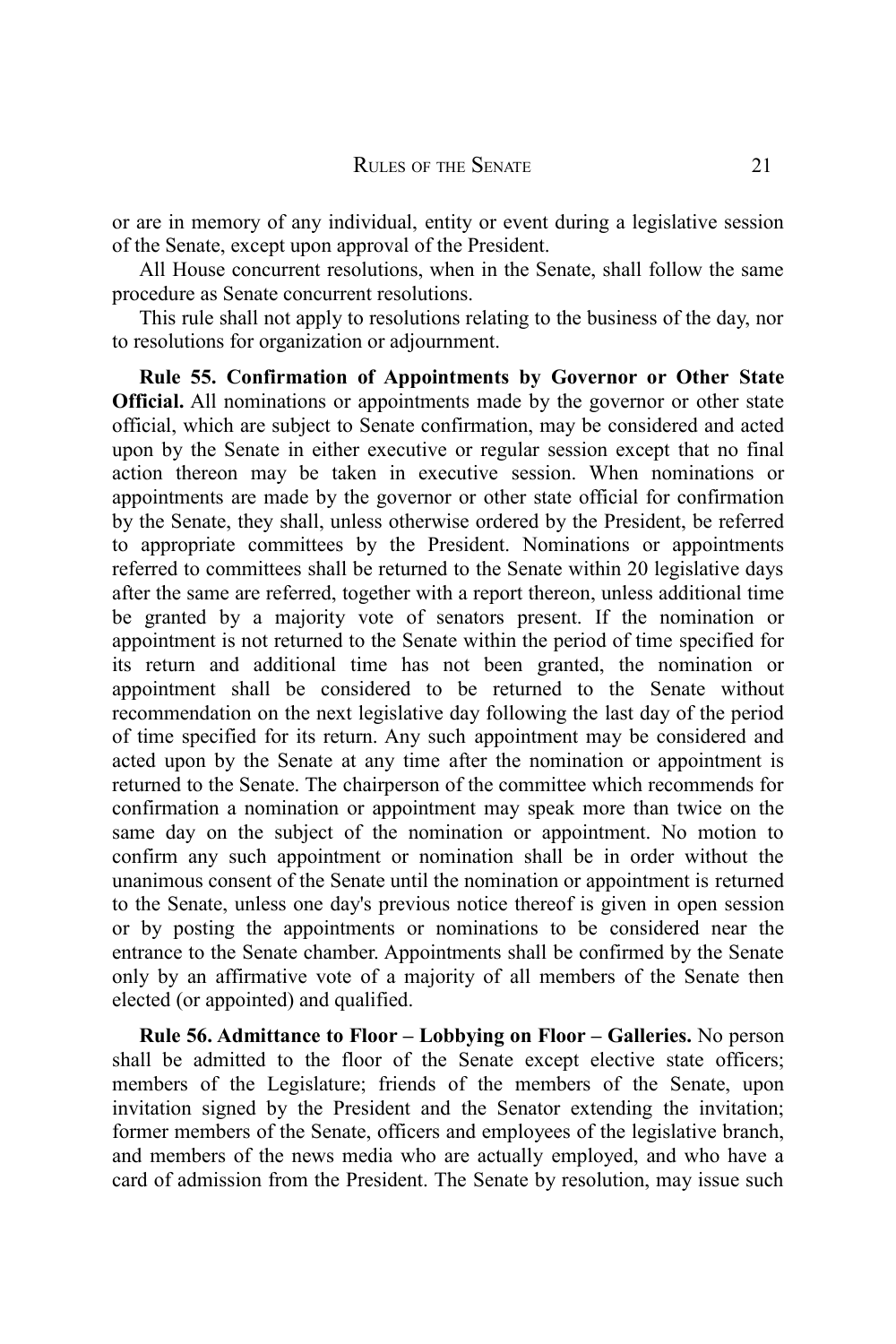or are in memory of any individual, entity or event during a legislative session of the Senate, except upon approval of the President.

All House concurrent resolutions, when in the Senate, shall follow the same procedure as Senate concurrent resolutions.

This rule shall not apply to resolutions relating to the business of the day, nor to resolutions for organization or adjournment.

**Rule 55. Confirmation of Appointments by Governor or Other State Official.** All nominations or appointments made by the governor or other state official, which are subject to Senate confirmation, may be considered and acted upon by the Senate in either executive or regular session except that no final action thereon may be taken in executive session. When nominations or appointments are made by the governor or other state official for confirmation by the Senate, they shall, unless otherwise ordered by the President, be referred to appropriate committees by the President. Nominations or appointments referred to committees shall be returned to the Senate within 20 legislative days after the same are referred, together with a report thereon, unless additional time be granted by a majority vote of senators present. If the nomination or appointment is not returned to the Senate within the period of time specified for its return and additional time has not been granted, the nomination or appointment shall be considered to be returned to the Senate without recommendation on the next legislative day following the last day of the period of time specified for its return. Any such appointment may be considered and acted upon by the Senate at any time after the nomination or appointment is returned to the Senate. The chairperson of the committee which recommends for confirmation a nomination or appointment may speak more than twice on the same day on the subject of the nomination or appointment. No motion to confirm any such appointment or nomination shall be in order without the unanimous consent of the Senate until the nomination or appointment is returned to the Senate, unless one day's previous notice thereof is given in open session or by posting the appointments or nominations to be considered near the entrance to the Senate chamber. Appointments shall be confirmed by the Senate only by an affirmative vote of a majority of all members of the Senate then elected (or appointed) and qualified.

**Rule 56. Admittance to Floor – Lobbying on Floor – Galleries.** No person shall be admitted to the floor of the Senate except elective state officers; members of the Legislature; friends of the members of the Senate, upon invitation signed by the President and the Senator extending the invitation; former members of the Senate, officers and employees of the legislative branch, and members of the news media who are actually employed, and who have a card of admission from the President. The Senate by resolution, may issue such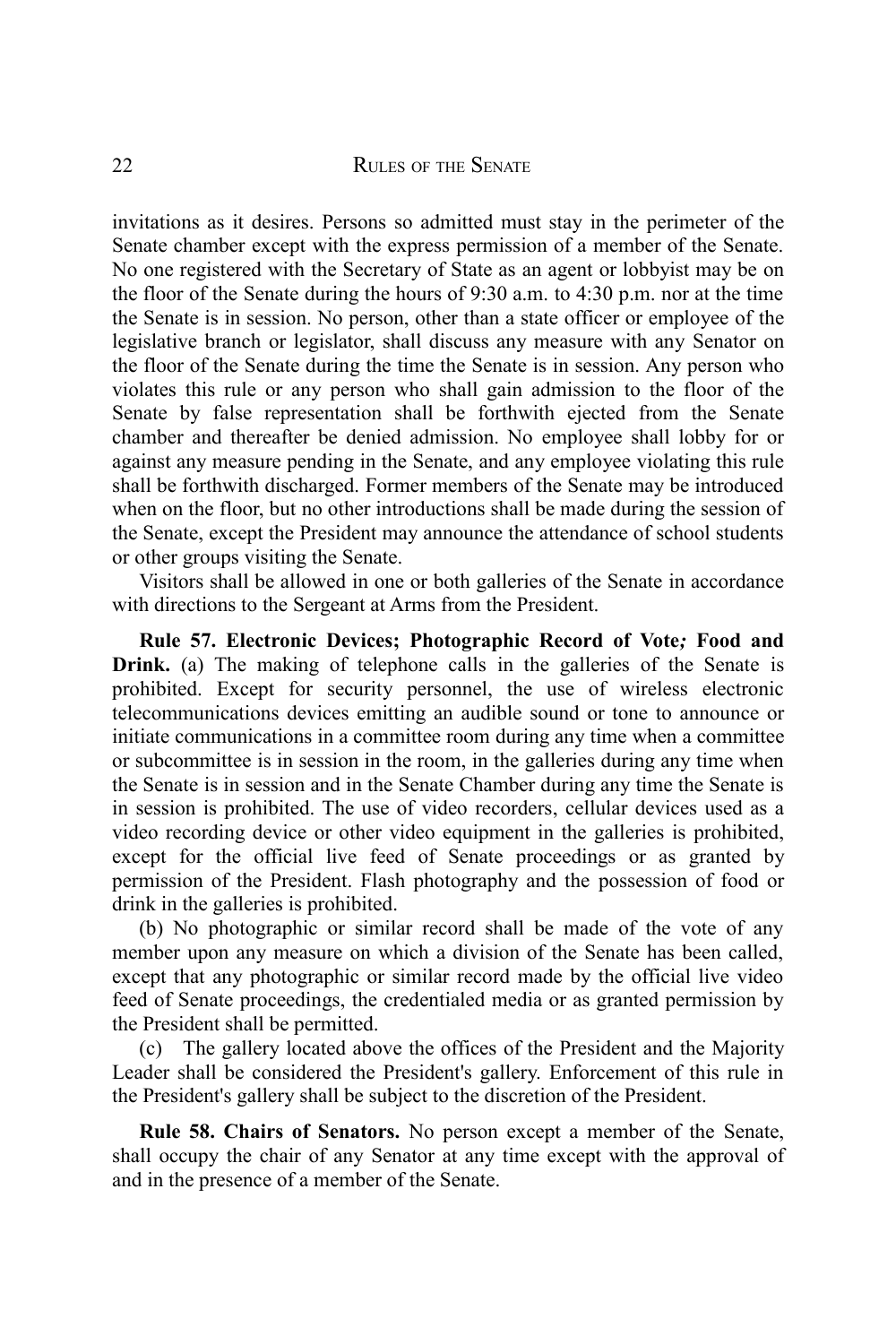invitations as it desires. Persons so admitted must stay in the perimeter of the Senate chamber except with the express permission of a member of the Senate. No one registered with the Secretary of State as an agent or lobbyist may be on the floor of the Senate during the hours of 9:30 a.m. to 4:30 p.m. nor at the time the Senate is in session. No person, other than a state officer or employee of the legislative branch or legislator, shall discuss any measure with any Senator on the floor of the Senate during the time the Senate is in session. Any person who violates this rule or any person who shall gain admission to the floor of the Senate by false representation shall be forthwith ejected from the Senate chamber and thereafter be denied admission. No employee shall lobby for or against any measure pending in the Senate, and any employee violating this rule shall be forthwith discharged. Former members of the Senate may be introduced when on the floor, but no other introductions shall be made during the session of the Senate, except the President may announce the attendance of school students or other groups visiting the Senate.

Visitors shall be allowed in one or both galleries of the Senate in accordance with directions to the Sergeant at Arms from the President.

**Rule 57. Electronic Devices; Photographic Record of Vote***;* **Food and Drink.** (a) The making of telephone calls in the galleries of the Senate is prohibited. Except for security personnel, the use of wireless electronic telecommunications devices emitting an audible sound or tone to announce or initiate communications in a committee room during any time when a committee or subcommittee is in session in the room, in the galleries during any time when the Senate is in session and in the Senate Chamber during any time the Senate is in session is prohibited. The use of video recorders, cellular devices used as a video recording device or other video equipment in the galleries is prohibited, except for the official live feed of Senate proceedings or as granted by permission of the President. Flash photography and the possession of food or drink in the galleries is prohibited.

(b) No photographic or similar record shall be made of the vote of any member upon any measure on which a division of the Senate has been called, except that any photographic or similar record made by the official live video feed of Senate proceedings, the credentialed media or as granted permission by the President shall be permitted.

(c) The gallery located above the offices of the President and the Majority Leader shall be considered the President's gallery. Enforcement of this rule in the President's gallery shall be subject to the discretion of the President.

**Rule 58. Chairs of Senators.** No person except a member of the Senate, shall occupy the chair of any Senator at any time except with the approval of and in the presence of a member of the Senate.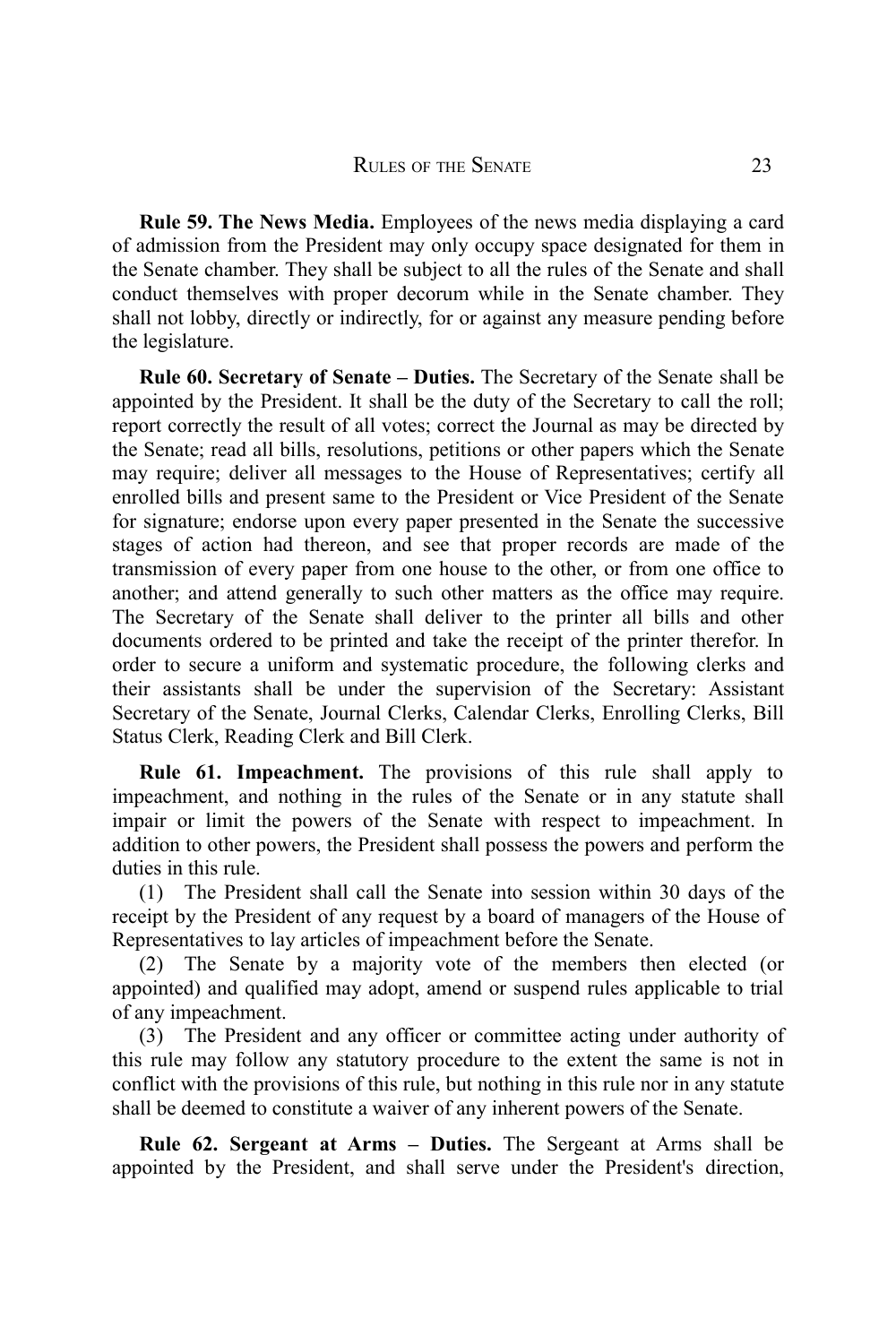**Rule 59. The News Media.** Employees of the news media displaying a card of admission from the President may only occupy space designated for them in the Senate chamber. They shall be subject to all the rules of the Senate and shall conduct themselves with proper decorum while in the Senate chamber. They shall not lobby, directly or indirectly, for or against any measure pending before the legislature.

**Rule 60. Secretary of Senate – Duties.** The Secretary of the Senate shall be appointed by the President. It shall be the duty of the Secretary to call the roll; report correctly the result of all votes; correct the Journal as may be directed by the Senate; read all bills, resolutions, petitions or other papers which the Senate may require; deliver all messages to the House of Representatives; certify all enrolled bills and present same to the President or Vice President of the Senate for signature; endorse upon every paper presented in the Senate the successive stages of action had thereon, and see that proper records are made of the transmission of every paper from one house to the other, or from one office to another; and attend generally to such other matters as the office may require. The Secretary of the Senate shall deliver to the printer all bills and other documents ordered to be printed and take the receipt of the printer therefor. In order to secure a uniform and systematic procedure, the following clerks and their assistants shall be under the supervision of the Secretary: Assistant Secretary of the Senate, Journal Clerks, Calendar Clerks, Enrolling Clerks, Bill Status Clerk, Reading Clerk and Bill Clerk.

**Rule 61. Impeachment.** The provisions of this rule shall apply to impeachment, and nothing in the rules of the Senate or in any statute shall impair or limit the powers of the Senate with respect to impeachment. In addition to other powers, the President shall possess the powers and perform the duties in this rule.

(1) The President shall call the Senate into session within 30 days of the receipt by the President of any request by a board of managers of the House of Representatives to lay articles of impeachment before the Senate.

(2) The Senate by a majority vote of the members then elected (or appointed) and qualified may adopt, amend or suspend rules applicable to trial of any impeachment.

(3) The President and any officer or committee acting under authority of this rule may follow any statutory procedure to the extent the same is not in conflict with the provisions of this rule, but nothing in this rule nor in any statute shall be deemed to constitute a waiver of any inherent powers of the Senate.

**Rule 62. Sergeant at Arms – Duties.** The Sergeant at Arms shall be appointed by the President, and shall serve under the President's direction,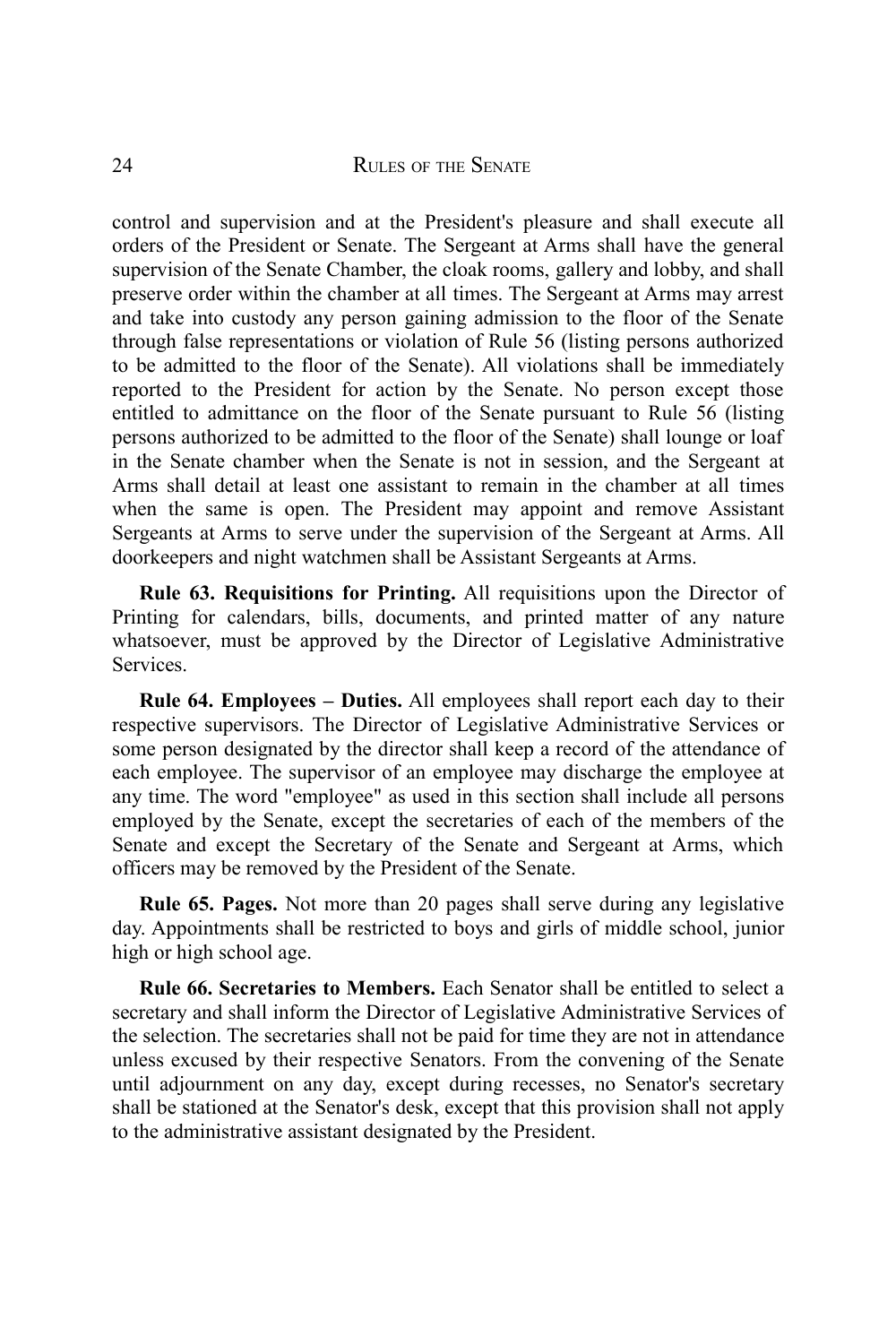control and supervision and at the President's pleasure and shall execute all orders of the President or Senate. The Sergeant at Arms shall have the general supervision of the Senate Chamber, the cloak rooms, gallery and lobby, and shall preserve order within the chamber at all times. The Sergeant at Arms may arrest and take into custody any person gaining admission to the floor of the Senate through false representations or violation of Rule 56 (listing persons authorized to be admitted to the floor of the Senate). All violations shall be immediately reported to the President for action by the Senate. No person except those entitled to admittance on the floor of the Senate pursuant to Rule 56 (listing persons authorized to be admitted to the floor of the Senate) shall lounge or loaf in the Senate chamber when the Senate is not in session, and the Sergeant at Arms shall detail at least one assistant to remain in the chamber at all times when the same is open. The President may appoint and remove Assistant Sergeants at Arms to serve under the supervision of the Sergeant at Arms. All doorkeepers and night watchmen shall be Assistant Sergeants at Arms.

**Rule 63. Requisitions for Printing.** All requisitions upon the Director of Printing for calendars, bills, documents, and printed matter of any nature whatsoever, must be approved by the Director of Legislative Administrative Services.

**Rule 64. Employees – Duties.** All employees shall report each day to their respective supervisors. The Director of Legislative Administrative Services or some person designated by the director shall keep a record of the attendance of each employee. The supervisor of an employee may discharge the employee at any time. The word "employee" as used in this section shall include all persons employed by the Senate, except the secretaries of each of the members of the Senate and except the Secretary of the Senate and Sergeant at Arms, which officers may be removed by the President of the Senate.

**Rule 65. Pages.** Not more than 20 pages shall serve during any legislative day. Appointments shall be restricted to boys and girls of middle school, junior high or high school age.

**Rule 66. Secretaries to Members.** Each Senator shall be entitled to select a secretary and shall inform the Director of Legislative Administrative Services of the selection. The secretaries shall not be paid for time they are not in attendance unless excused by their respective Senators. From the convening of the Senate until adjournment on any day, except during recesses, no Senator's secretary shall be stationed at the Senator's desk, except that this provision shall not apply to the administrative assistant designated by the President.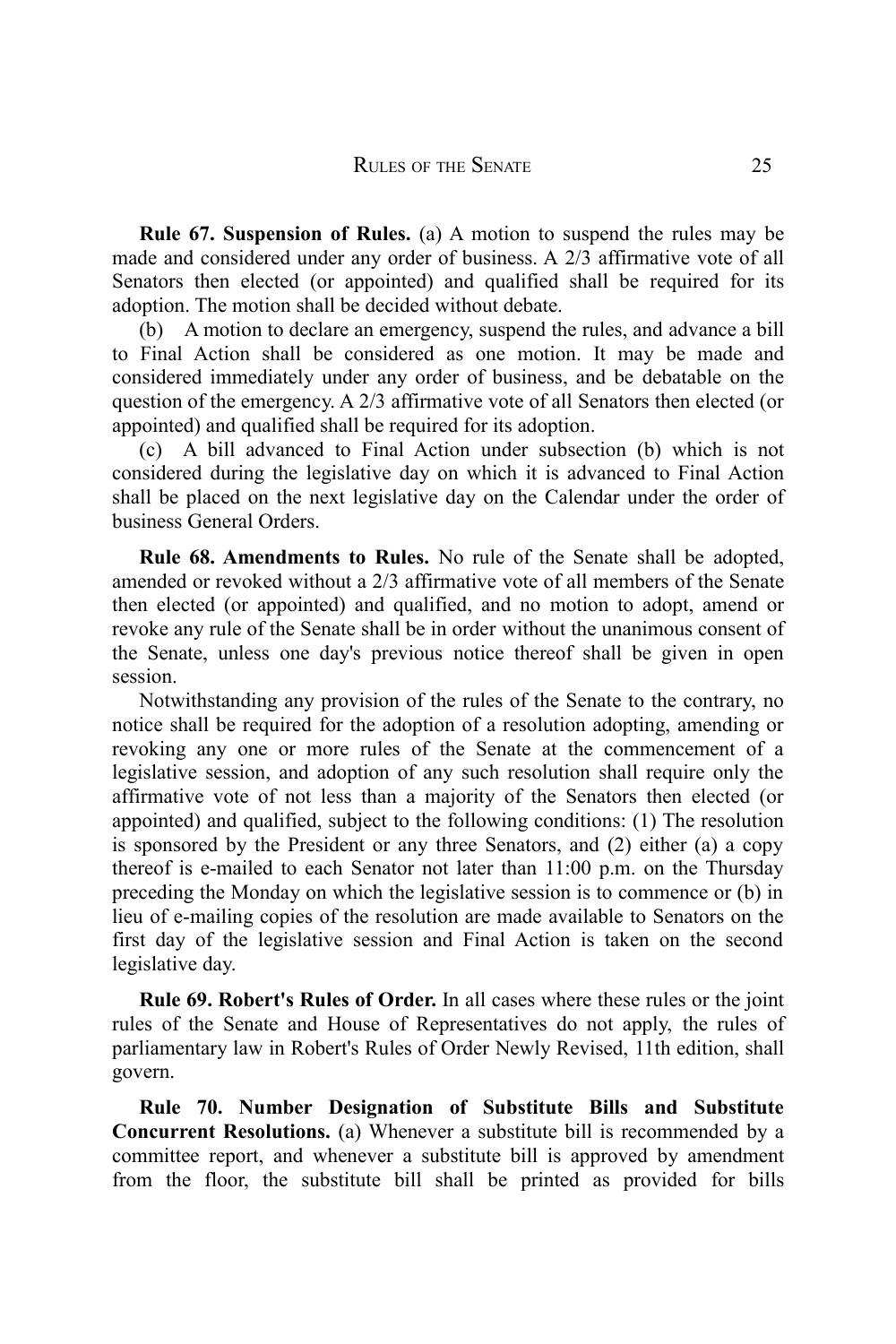**Rule 67. Suspension of Rules.** (a) A motion to suspend the rules may be made and considered under any order of business. A 2/3 affirmative vote of all Senators then elected (or appointed) and qualified shall be required for its adoption. The motion shall be decided without debate.

(b) A motion to declare an emergency, suspend the rules, and advance a bill to Final Action shall be considered as one motion. It may be made and considered immediately under any order of business, and be debatable on the question of the emergency. A 2/3 affirmative vote of all Senators then elected (or appointed) and qualified shall be required for its adoption.

(c) A bill advanced to Final Action under subsection (b) which is not considered during the legislative day on which it is advanced to Final Action shall be placed on the next legislative day on the Calendar under the order of business General Orders.

**Rule 68. Amendments to Rules.** No rule of the Senate shall be adopted, amended or revoked without a 2/3 affirmative vote of all members of the Senate then elected (or appointed) and qualified, and no motion to adopt, amend or revoke any rule of the Senate shall be in order without the unanimous consent of the Senate, unless one day's previous notice thereof shall be given in open session.

Notwithstanding any provision of the rules of the Senate to the contrary, no notice shall be required for the adoption of a resolution adopting, amending or revoking any one or more rules of the Senate at the commencement of a legislative session, and adoption of any such resolution shall require only the affirmative vote of not less than a majority of the Senators then elected (or appointed) and qualified, subject to the following conditions: (1) The resolution is sponsored by the President or any three Senators, and (2) either (a) a copy thereof is e-mailed to each Senator not later than 11:00 p.m. on the Thursday preceding the Monday on which the legislative session is to commence or (b) in lieu of e-mailing copies of the resolution are made available to Senators on the first day of the legislative session and Final Action is taken on the second legislative day.

**Rule 69. Robert's Rules of Order.** In all cases where these rules or the joint rules of the Senate and House of Representatives do not apply, the rules of parliamentary law in Robert's Rules of Order Newly Revised, 11th edition, shall govern.

**Rule 70. Number Designation of Substitute Bills and Substitute Concurrent Resolutions.** (a) Whenever a substitute bill is recommended by a committee report, and whenever a substitute bill is approved by amendment from the floor, the substitute bill shall be printed as provided for bills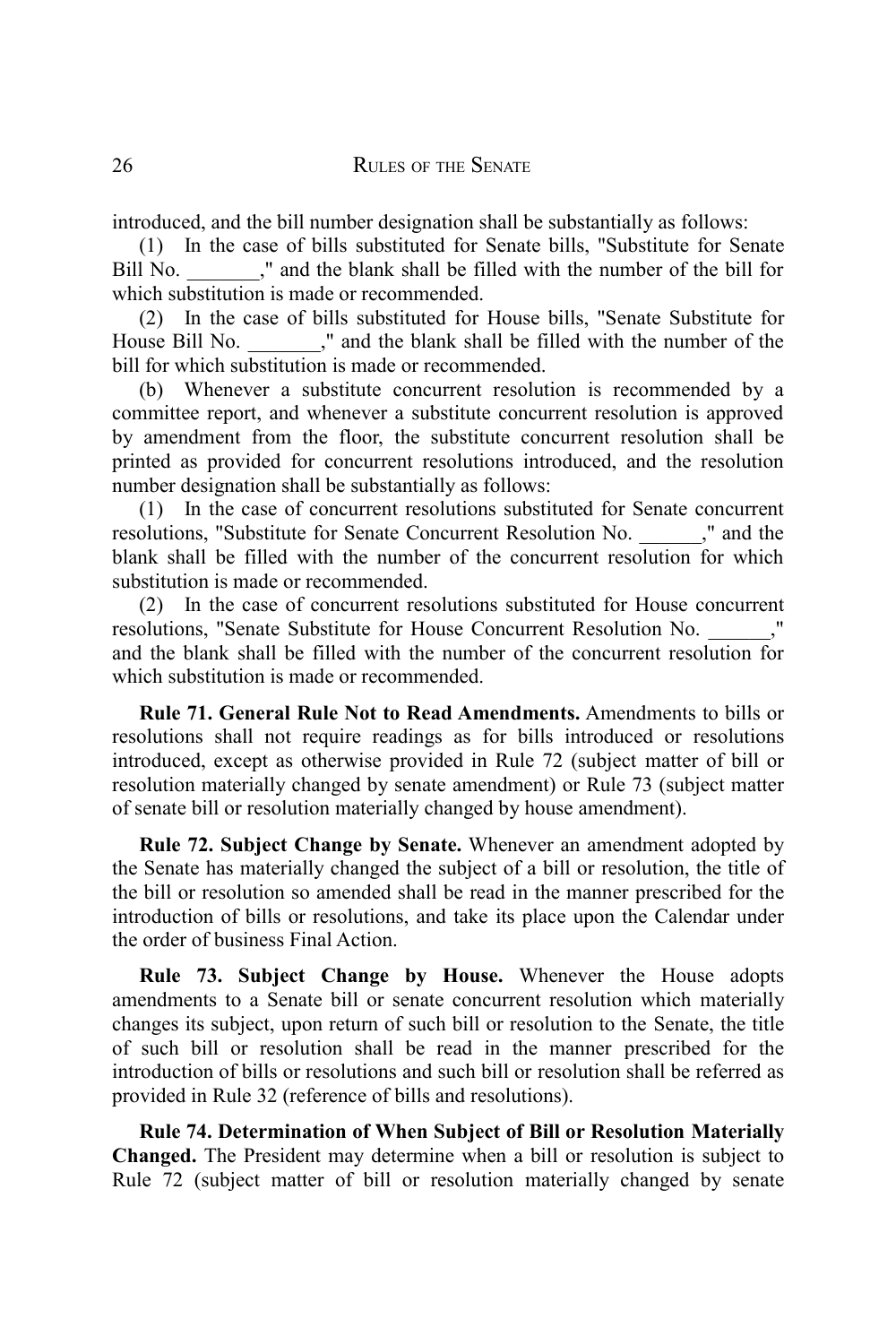introduced, and the bill number designation shall be substantially as follows:

(1) In the case of bills substituted for Senate bills, "Substitute for Senate Bill No. \_\_\_\_\_\_\_," and the blank shall be filled with the number of the bill for which substitution is made or recommended.

(2) In the case of bills substituted for House bills, "Senate Substitute for House Bill No.  $\blacksquare$ ," and the blank shall be filled with the number of the bill for which substitution is made or recommended.

(b) Whenever a substitute concurrent resolution is recommended by a committee report, and whenever a substitute concurrent resolution is approved by amendment from the floor, the substitute concurrent resolution shall be printed as provided for concurrent resolutions introduced, and the resolution number designation shall be substantially as follows:

(1) In the case of concurrent resolutions substituted for Senate concurrent resolutions, "Substitute for Senate Concurrent Resolution No. \_\_\_\_\_\_," and the blank shall be filled with the number of the concurrent resolution for which substitution is made or recommended.

(2) In the case of concurrent resolutions substituted for House concurrent resolutions, "Senate Substitute for House Concurrent Resolution No. and the blank shall be filled with the number of the concurrent resolution for which substitution is made or recommended.

**Rule 71. General Rule Not to Read Amendments.** Amendments to bills or resolutions shall not require readings as for bills introduced or resolutions introduced, except as otherwise provided in Rule 72 (subject matter of bill or resolution materially changed by senate amendment) or Rule 73 (subject matter of senate bill or resolution materially changed by house amendment).

**Rule 72. Subject Change by Senate.** Whenever an amendment adopted by the Senate has materially changed the subject of a bill or resolution, the title of the bill or resolution so amended shall be read in the manner prescribed for the introduction of bills or resolutions, and take its place upon the Calendar under the order of business Final Action.

**Rule 73. Subject Change by House.** Whenever the House adopts amendments to a Senate bill or senate concurrent resolution which materially changes its subject, upon return of such bill or resolution to the Senate, the title of such bill or resolution shall be read in the manner prescribed for the introduction of bills or resolutions and such bill or resolution shall be referred as provided in Rule 32 (reference of bills and resolutions).

**Rule 74. Determination of When Subject of Bill or Resolution Materially Changed.** The President may determine when a bill or resolution is subject to Rule 72 (subject matter of bill or resolution materially changed by senate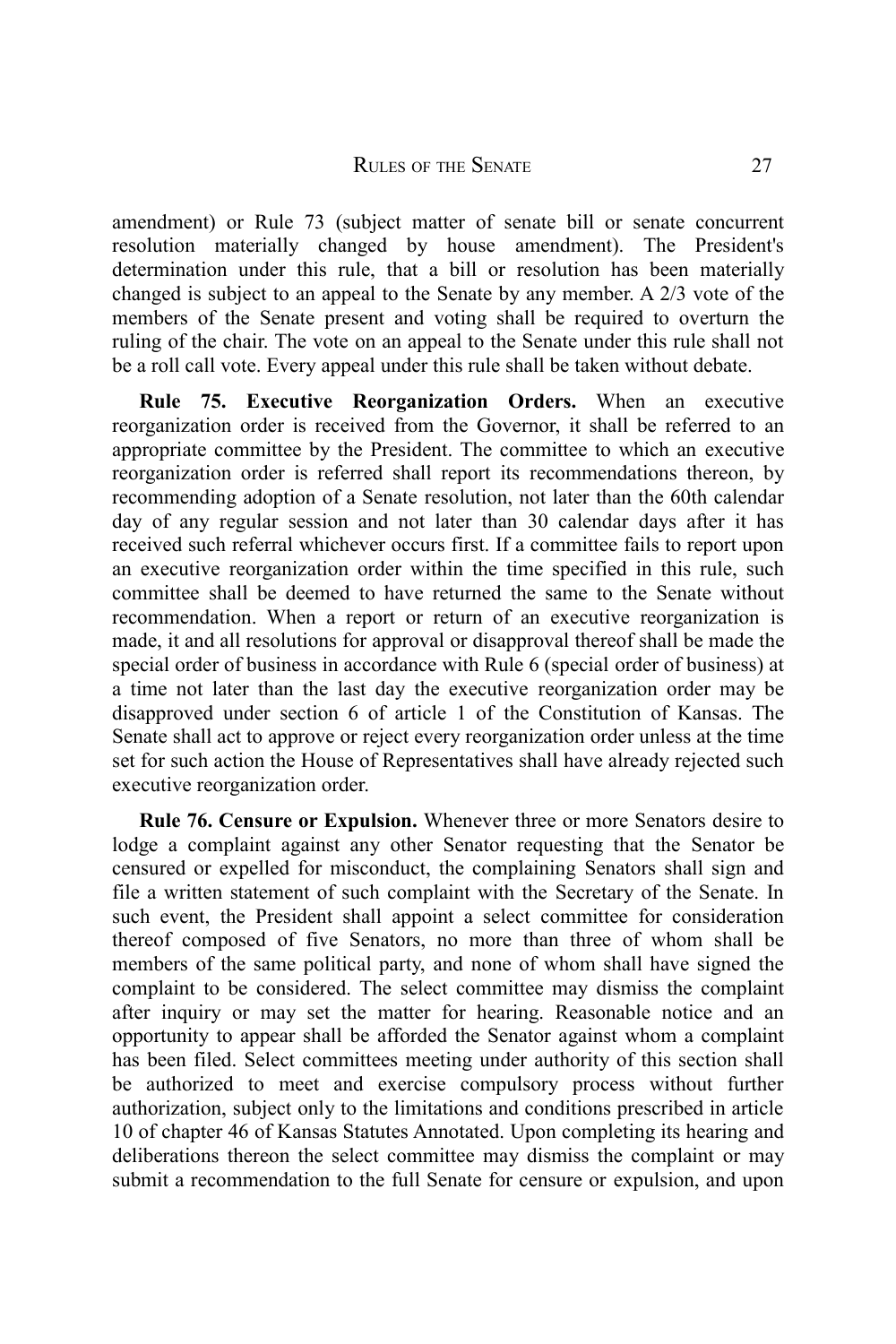amendment) or Rule 73 (subject matter of senate bill or senate concurrent resolution materially changed by house amendment). The President's determination under this rule, that a bill or resolution has been materially changed is subject to an appeal to the Senate by any member. A 2/3 vote of the members of the Senate present and voting shall be required to overturn the ruling of the chair. The vote on an appeal to the Senate under this rule shall not be a roll call vote. Every appeal under this rule shall be taken without debate.

**Rule 75. Executive Reorganization Orders.** When an executive reorganization order is received from the Governor, it shall be referred to an appropriate committee by the President. The committee to which an executive reorganization order is referred shall report its recommendations thereon, by recommending adoption of a Senate resolution, not later than the 60th calendar day of any regular session and not later than 30 calendar days after it has received such referral whichever occurs first. If a committee fails to report upon an executive reorganization order within the time specified in this rule, such committee shall be deemed to have returned the same to the Senate without recommendation. When a report or return of an executive reorganization is made, it and all resolutions for approval or disapproval thereof shall be made the special order of business in accordance with Rule 6 (special order of business) at a time not later than the last day the executive reorganization order may be disapproved under section 6 of article 1 of the Constitution of Kansas. The Senate shall act to approve or reject every reorganization order unless at the time set for such action the House of Representatives shall have already rejected such executive reorganization order.

**Rule 76. Censure or Expulsion.** Whenever three or more Senators desire to lodge a complaint against any other Senator requesting that the Senator be censured or expelled for misconduct, the complaining Senators shall sign and file a written statement of such complaint with the Secretary of the Senate. In such event, the President shall appoint a select committee for consideration thereof composed of five Senators, no more than three of whom shall be members of the same political party, and none of whom shall have signed the complaint to be considered. The select committee may dismiss the complaint after inquiry or may set the matter for hearing. Reasonable notice and an opportunity to appear shall be afforded the Senator against whom a complaint has been filed. Select committees meeting under authority of this section shall be authorized to meet and exercise compulsory process without further authorization, subject only to the limitations and conditions prescribed in article 10 of chapter 46 of Kansas Statutes Annotated. Upon completing its hearing and deliberations thereon the select committee may dismiss the complaint or may submit a recommendation to the full Senate for censure or expulsion, and upon